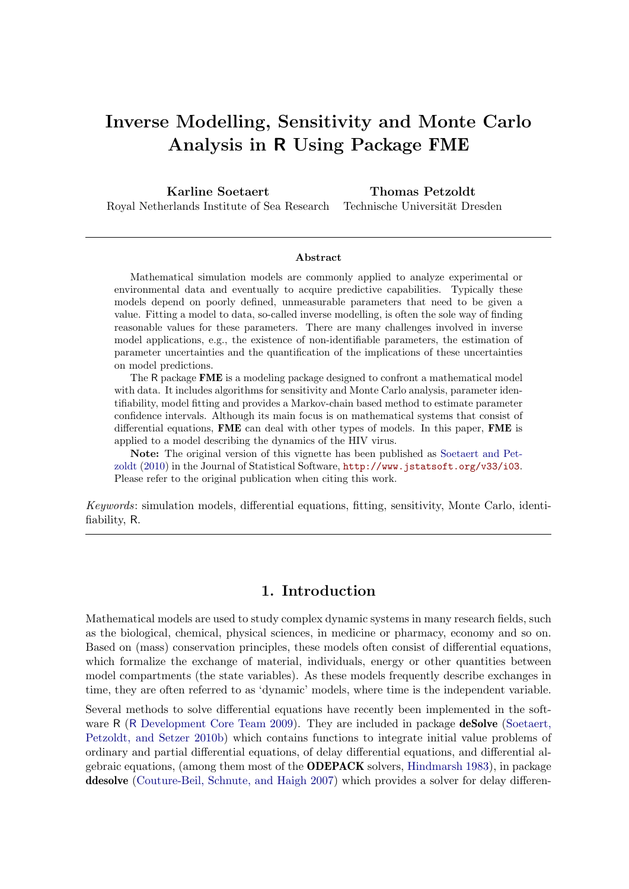# Inverse Modelling, Sensitivity and Monte Carlo Analysis in R Using Package FME

Karline Soetaert Royal Netherlands Institute of Sea Research Thomas Petzoldt Technische Universität Dresden

#### Abstract

Mathematical simulation models are commonly applied to analyze experimental or environmental data and eventually to acquire predictive capabilities. Typically these models depend on poorly defined, unmeasurable parameters that need to be given a value. Fitting a model to data, so-called inverse modelling, is often the sole way of finding reasonable values for these parameters. There are many challenges involved in inverse model applications, e.g., the existence of non-identifiable parameters, the estimation of parameter uncertainties and the quantification of the implications of these uncertainties on model predictions.

The R package FME is a modeling package designed to confront a mathematical model with data. It includes algorithms for sensitivity and Monte Carlo analysis, parameter identifiability, model fitting and provides a Markov-chain based method to estimate parameter confidence intervals. Although its main focus is on mathematical systems that consist of differential equations, FME can deal with other types of models. In this paper, FME is applied to a model describing the dynamics of the HIV virus.

Note: The original version of this vignette has been published as [Soetaert and Pet](#page-26-0)[zoldt](#page-26-0) [\(2010\)](#page-26-0) in the Journal of Statistical Software, <http://www.jstatsoft.org/v33/i03>. Please refer to the original publication when citing this work.

Keywords: simulation models, differential equations, fitting, sensitivity, Monte Carlo, identifiability, R.

## 1. Introduction

Mathematical models are used to study complex dynamic systems in many research fields, such as the biological, chemical, physical sciences, in medicine or pharmacy, economy and so on. Based on (mass) conservation principles, these models often consist of differential equations, which formalize the exchange of material, individuals, energy or other quantities between model compartments (the state variables). As these models frequently describe exchanges in time, they are often referred to as 'dynamic' models, where time is the independent variable.

Several methods to solve differential equations have recently been implemented in the soft-ware R (R [Development Core Team](#page-26-1) [2009\)](#page-26-1). They are included in package **deSolve** [\(Soetaert,](#page-26-2) [Petzoldt, and Setzer](#page-26-2) [2010b\)](#page-26-2) which contains functions to integrate initial value problems of ordinary and partial differential equations, of delay differential equations, and differential algebraic equations, (among them most of the ODEPACK solvers, [Hindmarsh](#page-25-0) [1983\)](#page-25-0), in package ddesolve [\(Couture-Beil, Schnute, and Haigh](#page-24-0) [2007\)](#page-24-0) which provides a solver for delay differen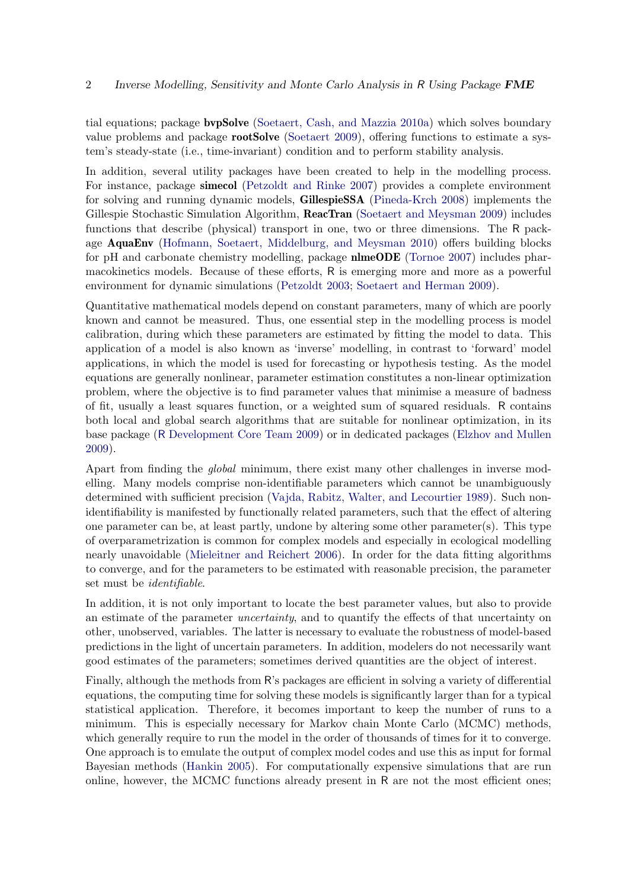tial equations; package bvpSolve [\(Soetaert, Cash, and Mazzia](#page-26-3) [2010a\)](#page-26-3) which solves boundary value problems and package **rootSolve** [\(Soetaert](#page-26-4) [2009\)](#page-26-4), offering functions to estimate a system's steady-state (i.e., time-invariant) condition and to perform stability analysis.

In addition, several utility packages have been created to help in the modelling process. For instance, package simecol [\(Petzoldt and Rinke](#page-25-1) [2007\)](#page-25-1) provides a complete environment for solving and running dynamic models, GillespieSSA [\(Pineda-Krch](#page-25-2) [2008\)](#page-25-2) implements the Gillespie Stochastic Simulation Algorithm, **ReacTran** [\(Soetaert and Meysman](#page-26-5) [2009\)](#page-26-5) includes functions that describe (physical) transport in one, two or three dimensions. The R package AquaEnv [\(Hofmann, Soetaert, Middelburg, and Meysman](#page-25-3) [2010\)](#page-25-3) offers building blocks for pH and carbonate chemistry modelling, package nlmeODE [\(Tornoe](#page-26-6) [2007\)](#page-26-6) includes pharmacokinetics models. Because of these efforts, R is emerging more and more as a powerful environment for dynamic simulations [\(Petzoldt](#page-25-4) [2003;](#page-25-4) [Soetaert and Herman](#page-26-7) [2009\)](#page-26-7).

Quantitative mathematical models depend on constant parameters, many of which are poorly known and cannot be measured. Thus, one essential step in the modelling process is model calibration, during which these parameters are estimated by fitting the model to data. This application of a model is also known as 'inverse' modelling, in contrast to 'forward' model applications, in which the model is used for forecasting or hypothesis testing. As the model equations are generally nonlinear, parameter estimation constitutes a non-linear optimization problem, where the objective is to find parameter values that minimise a measure of badness of fit, usually a least squares function, or a weighted sum of squared residuals. R contains both local and global search algorithms that are suitable for nonlinear optimization, in its base package (R [Development Core Team](#page-26-1) [2009\)](#page-26-1) or in dedicated packages [\(Elzhov and Mullen](#page-24-1) [2009\)](#page-24-1).

Apart from finding the global minimum, there exist many other challenges in inverse modelling. Many models comprise non-identifiable parameters which cannot be unambiguously determined with sufficient precision [\(Vajda, Rabitz, Walter, and Lecourtier](#page-26-8) [1989\)](#page-26-8). Such nonidentifiability is manifested by functionally related parameters, such that the effect of altering one parameter can be, at least partly, undone by altering some other parameter(s). This type of overparametrization is common for complex models and especially in ecological modelling nearly unavoidable [\(Mieleitner and Reichert](#page-25-5) [2006\)](#page-25-5). In order for the data fitting algorithms to converge, and for the parameters to be estimated with reasonable precision, the parameter set must be identifiable.

In addition, it is not only important to locate the best parameter values, but also to provide an estimate of the parameter uncertainty, and to quantify the effects of that uncertainty on other, unobserved, variables. The latter is necessary to evaluate the robustness of model-based predictions in the light of uncertain parameters. In addition, modelers do not necessarily want good estimates of the parameters; sometimes derived quantities are the object of interest.

Finally, although the methods from R's packages are efficient in solving a variety of differential equations, the computing time for solving these models is significantly larger than for a typical statistical application. Therefore, it becomes important to keep the number of runs to a minimum. This is especially necessary for Markov chain Monte Carlo (MCMC) methods, which generally require to run the model in the order of thousands of times for it to converge. One approach is to emulate the output of complex model codes and use this as input for formal Bayesian methods [\(Hankin](#page-25-6) [2005\)](#page-25-6). For computationally expensive simulations that are run online, however, the MCMC functions already present in R are not the most efficient ones;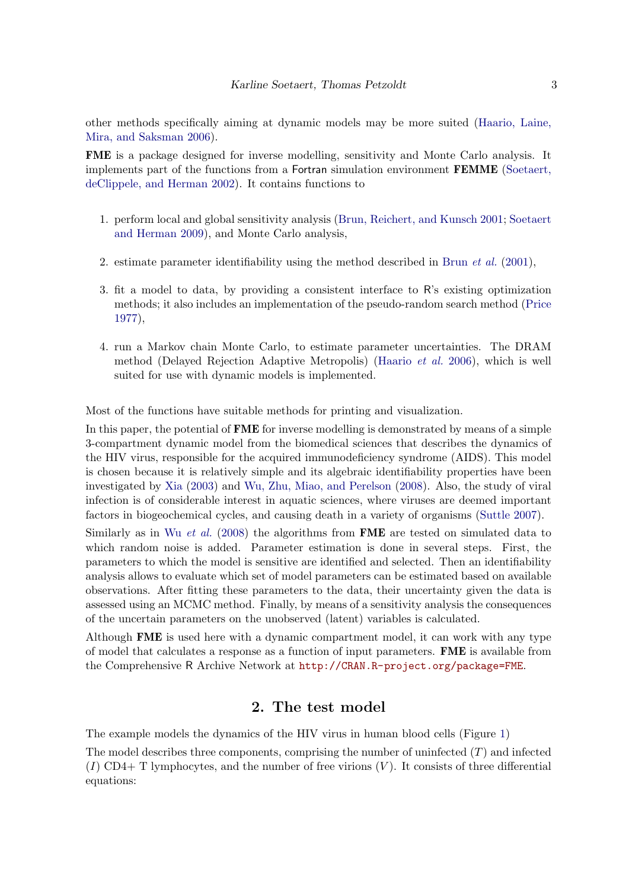other methods specifically aiming at dynamic models may be more suited [\(Haario, Laine,](#page-25-7) [Mira, and Saksman](#page-25-7) [2006\)](#page-25-7).

FME is a package designed for inverse modelling, sensitivity and Monte Carlo analysis. It implements part of the functions from a Fortran simulation environment FEMME [\(Soetaert,](#page-26-9) [deClippele, and Herman](#page-26-9) [2002\)](#page-26-9). It contains functions to

- 1. perform local and global sensitivity analysis [\(Brun, Reichert, and Kunsch](#page-24-2) [2001;](#page-24-2) [Soetaert](#page-26-7) [and Herman](#page-26-7) [2009\)](#page-26-7), and Monte Carlo analysis,
- 2. estimate parameter identifiability using the method described in Brun  $et al. (2001)$  $et al. (2001)$  $et al. (2001)$ ,
- 3. fit a model to data, by providing a consistent interface to R's existing optimization methods; it also includes an implementation of the pseudo-random search method [\(Price](#page-25-8) [1977\)](#page-25-8),
- 4. run a Markov chain Monte Carlo, to estimate parameter uncertainties. The DRAM method (Delayed Rejection Adaptive Metropolis) [\(Haario](#page-25-7) et al. [2006\)](#page-25-7), which is well suited for use with dynamic models is implemented.

Most of the functions have suitable methods for printing and visualization.

In this paper, the potential of **FME** for inverse modelling is demonstrated by means of a simple 3-compartment dynamic model from the biomedical sciences that describes the dynamics of the HIV virus, responsible for the acquired immunodeficiency syndrome (AIDS). This model is chosen because it is relatively simple and its algebraic identifiability properties have been investigated by [Xia](#page-26-10) [\(2003\)](#page-26-10) and [Wu, Zhu, Miao, and Perelson](#page-26-11) [\(2008\)](#page-26-11). Also, the study of viral infection is of considerable interest in aquatic sciences, where viruses are deemed important factors in biogeochemical cycles, and causing death in a variety of organisms [\(Suttle](#page-26-12) [2007\)](#page-26-12).

Similarly as in Wu *[et al.](#page-26-11)* [\(2008\)](#page-26-11) the algorithms from **FME** are tested on simulated data to which random noise is added. Parameter estimation is done in several steps. First, the parameters to which the model is sensitive are identified and selected. Then an identifiability analysis allows to evaluate which set of model parameters can be estimated based on available observations. After fitting these parameters to the data, their uncertainty given the data is assessed using an MCMC method. Finally, by means of a sensitivity analysis the consequences of the uncertain parameters on the unobserved (latent) variables is calculated.

Although FME is used here with a dynamic compartment model, it can work with any type of model that calculates a response as a function of input parameters. FME is available from the Comprehensive R Archive Network at <http://CRAN.R-project.org/package=FME>.

## 2. The test model

The example models the dynamics of the HIV virus in human blood cells (Figure [1\)](#page-3-0)

The model describes three components, comprising the number of uninfected  $(T)$  and infected  $(I)$  CD4+ T lymphocytes, and the number of free virions  $(V)$ . It consists of three differential equations: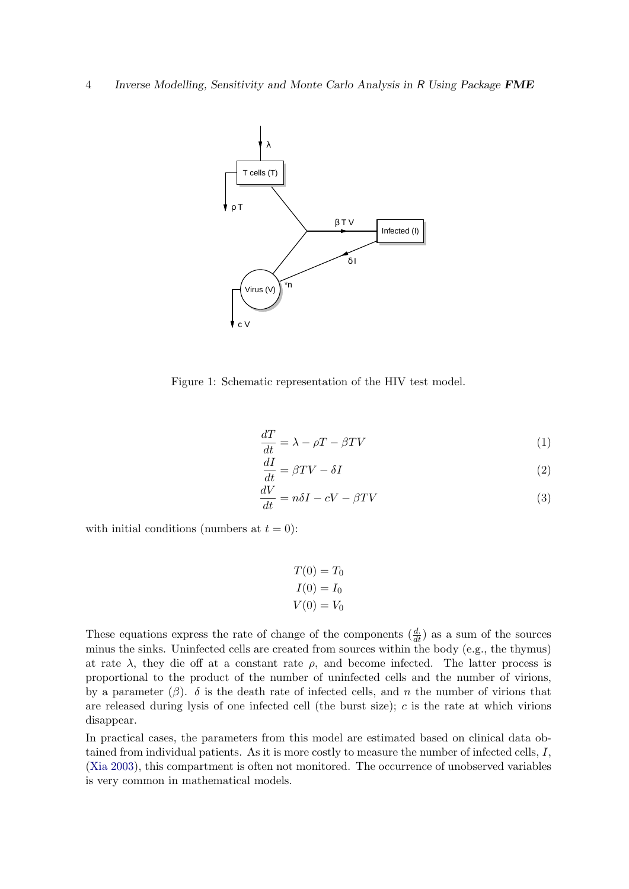4 Inverse Modelling, Sensitivity and Monte Carlo Analysis in R Using Package FME



<span id="page-3-0"></span>Figure 1: Schematic representation of the HIV test model.

$$
\frac{dT}{dt} = \lambda - \rho T - \beta TV \tag{1}
$$

$$
\frac{dI}{dt} = \beta TV - \delta I \tag{2}
$$

$$
\frac{dV}{dt} = n\delta I - cV - \beta TV\tag{3}
$$

with initial conditions (numbers at  $t = 0$ ):

$$
T(0) = T_0
$$
  

$$
I(0) = I_0
$$
  

$$
V(0) = V_0
$$

These equations express the rate of change of the components  $(\frac{d}{dt})$  as a sum of the sources minus the sinks. Uninfected cells are created from sources within the body (e.g., the thymus) at rate  $\lambda$ , they die off at a constant rate  $\rho$ , and become infected. The latter process is proportional to the product of the number of uninfected cells and the number of virions, by a parameter  $(\beta)$ .  $\delta$  is the death rate of infected cells, and n the number of virions that are released during lysis of one infected cell (the burst size);  $c$  is the rate at which virions disappear.

In practical cases, the parameters from this model are estimated based on clinical data obtained from individual patients. As it is more costly to measure the number of infected cells, I, [\(Xia](#page-26-10) [2003\)](#page-26-10), this compartment is often not monitored. The occurrence of unobserved variables is very common in mathematical models.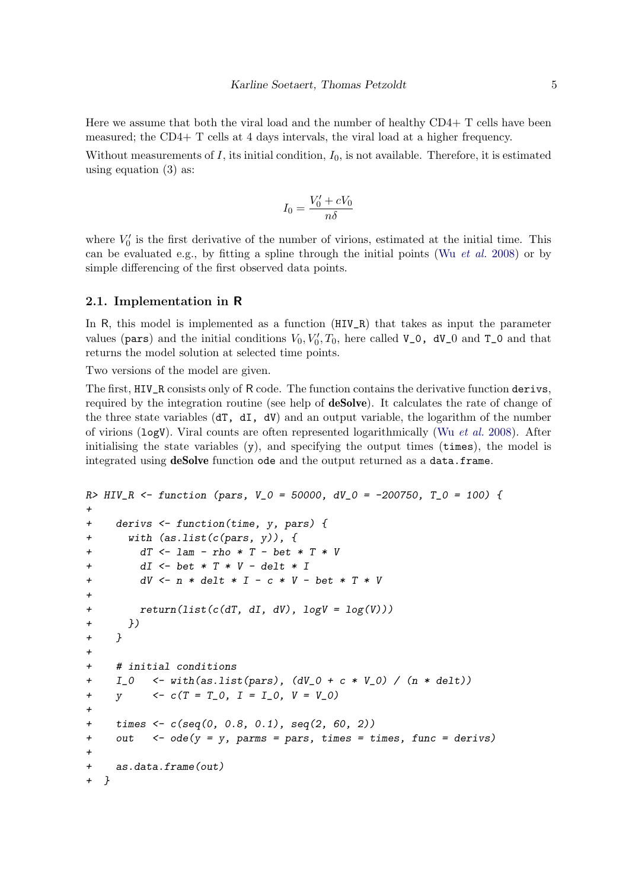Here we assume that both the viral load and the number of healthy CD4+ T cells have been measured; the CD4+ T cells at 4 days intervals, the viral load at a higher frequency.

Without measurements of  $I$ , its initial condition,  $I_0$ , is not available. Therefore, it is estimated using equation (3) as:

$$
I_0 = \frac{V'_0 + cV_0}{n\delta}
$$

where  $V_0'$  is the first derivative of the number of virions, estimated at the initial time. This can be evaluated e.g., by fitting a spline through the initial points (Wu *[et al.](#page-26-11)* [2008\)](#page-26-11) or by simple differencing of the first observed data points.

#### 2.1. Implementation in R

In R, this model is implemented as a function  $(HIV_R)$  that takes as input the parameter values (pars) and the initial conditions  $V_0, V'_0, T_0$ , here called  $V_0$ ,  $dV_0$  and  $T_0$  and that returns the model solution at selected time points.

Two versions of the model are given.

The first, HIV\_R consists only of R code. The function contains the derivative function derivs, required by the integration routine (see help of deSolve). It calculates the rate of change of the three state variables  $dT, dJ, dV$  and an output variable, the logarithm of the number of virions ( $log V$ ). Viral counts are often represented logarithmically (Wu *[et al.](#page-26-11)* [2008\)](#page-26-11). After initialising the state variables  $(y)$ , and specifying the output times (times), the model is integrated using deSolve function ode and the output returned as a data.frame.

```
R> HIV_R <- function (pars, V_0 = 50000, dV_0 = -200750, T_0 = 100) {
+
+ derivs <- function(time, y, pars) {
+ with (as.list(c(pars, y)), {
+ dT <- lam - rho * T - bet * T * V
+ dI \leq bet * T * V - delt * IdV \leq n * delt * I - c * V - bet * T * V+
+ return(list(c(d), d], dV), logV = log(V))+ })
+ }
+
+ # initial conditions
+ I_0 <- with(as.list(pars), (dV_0 + c * V_0) / (n * delt))
+ y \leq c(T = T_0, I = I_0, V = V_0)+
+ times <- c(seq(0, 0.8, 0.1), seq(2, 60, 2))
+ out \leq - ode(y = y, parms = pars, times = times, func = derivs)
+
+ as.data.frame(out)
+ }
```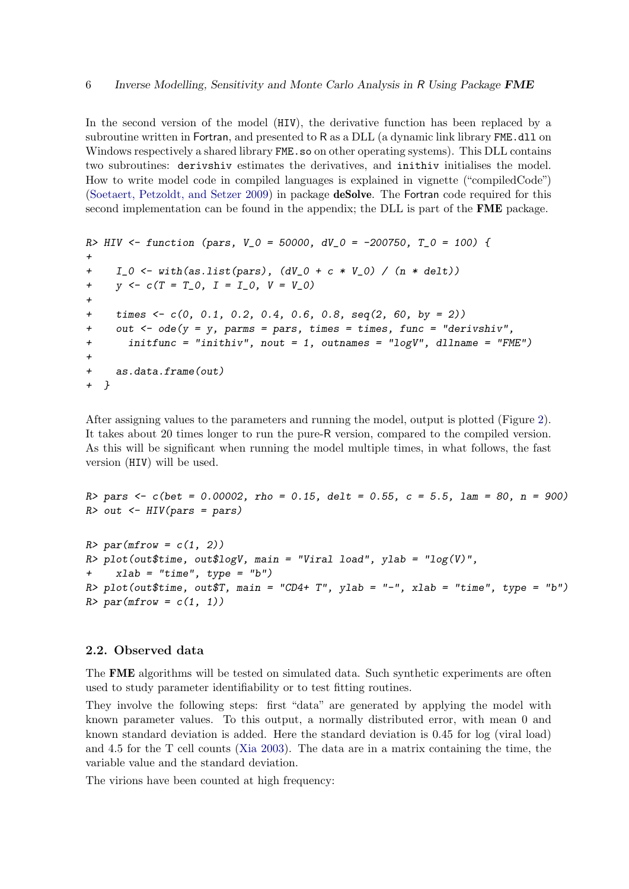In the second version of the model (HIV), the derivative function has been replaced by a subroutine written in Fortran, and presented to R as a DLL (a dynamic link library FME.dll on Windows respectively a shared library FME.so on other operating systems). This DLL contains two subroutines: derivshiv estimates the derivatives, and inithiv initialises the model. How to write model code in compiled languages is explained in vignette ("compiledCode") [\(Soetaert, Petzoldt, and Setzer](#page-26-13) [2009\)](#page-26-13) in package deSolve. The Fortran code required for this second implementation can be found in the appendix; the DLL is part of the **FME** package.

```
R> HIV <- function (pars, V_0 = 50000, dV_0 = -200750, T_0 = 100) {
+
+ I_0 \leftarrow \text{with}(as.list(pars), (dV_0 + c * V_0) / (n * delt))+ y \leftarrow c(T = T_0, I = I_0, V = V_0)+
     times \langle -c(0, 0.1, 0.2, 0.4, 0.6, 0.8, \text{seq}(2, 60, \text{ by } = 2) \rangle+ out \leq - ode(y = y, parms = pars, times = times, func = "derivshiv",
+ initfunc = "inithiv", nout = 1, outnames = "logV", dllname = "FME")
+
+ as.data.frame(out)
+ }
```
After assigning values to the parameters and running the model, output is plotted (Figure [2\)](#page-6-0). It takes about 20 times longer to run the pure-R version, compared to the compiled version. As this will be significant when running the model multiple times, in what follows, the fast version (HIV) will be used.

```
R> pars \leq c(bet = 0.00002, rho = 0.15, delt = 0.55, c = 5.5, lam = 80, n = 900)
R> out \leq HIV(pars = pars)
R > par(mfrow = c(1, 2))
```

```
R> plot(out$time, out$logV, main = "Viral load", ylab = "log(V)",
    xlab = "time", type = "b")R> plot(out$time, out$T, main = "CD4+ T", ylab = "-", xlab = "time", type = "b")
R> par(mfrow = c(1, 1))
```
#### 2.2. Observed data

The FME algorithms will be tested on simulated data. Such synthetic experiments are often used to study parameter identifiability or to test fitting routines.

They involve the following steps: first "data" are generated by applying the model with known parameter values. To this output, a normally distributed error, with mean 0 and known standard deviation is added. Here the standard deviation is 0.45 for log (viral load) and 4.5 for the T cell counts [\(Xia](#page-26-10) [2003\)](#page-26-10). The data are in a matrix containing the time, the variable value and the standard deviation.

The virions have been counted at high frequency: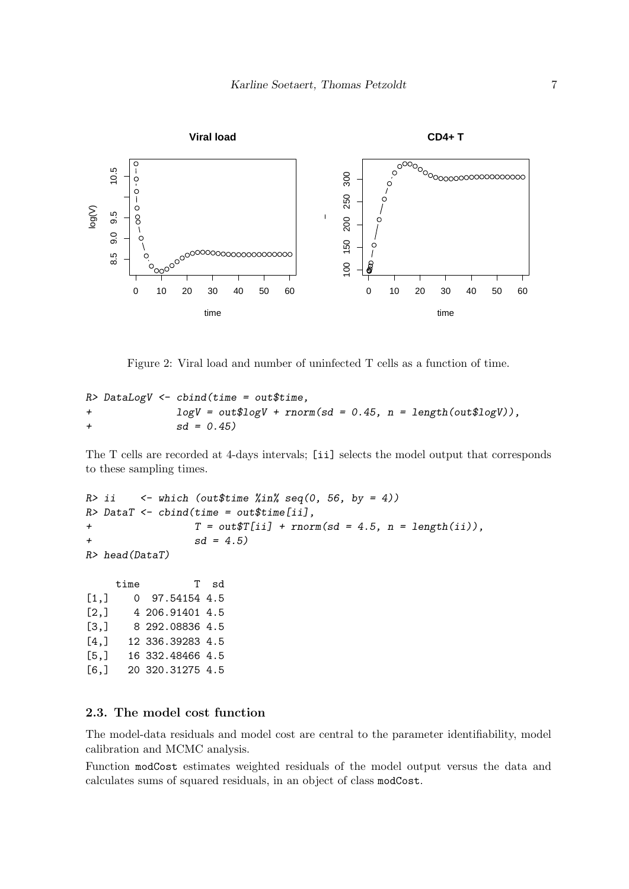

<span id="page-6-0"></span>Figure 2: Viral load and number of uninfected T cells as a function of time.

 $R$ > DataLogV  $\leftarrow$  cbind(time = out\$time, + logV = out\$logV + rnorm(sd = 0.45, n = length(out\$logV)),  $+$  sd = 0.45)

The T cells are recorded at 4-days intervals; [ii] selects the model output that corresponds to these sampling times.

```
R> ii \leq which (out$time %in% seq(0, 56, by = 4))
R> DataT <- cbind(time = out$time[ii],
+ T = out\T[i] + rnorm(sd = 4.5, n = length(ii)),
+ sd = 4.5)R> head(DataT)
    time T sd
[1,] 0 97.54154 4.5
[2,] 4 206.91401 4.5
[3,] 8 292.08836 4.5
[4,] 12 336.39283 4.5
[5,] 16 332.48466 4.5
[6,] 20 320.31275 4.5
```
#### 2.3. The model cost function

The model-data residuals and model cost are central to the parameter identifiability, model calibration and MCMC analysis.

Function modCost estimates weighted residuals of the model output versus the data and calculates sums of squared residuals, in an object of class modCost.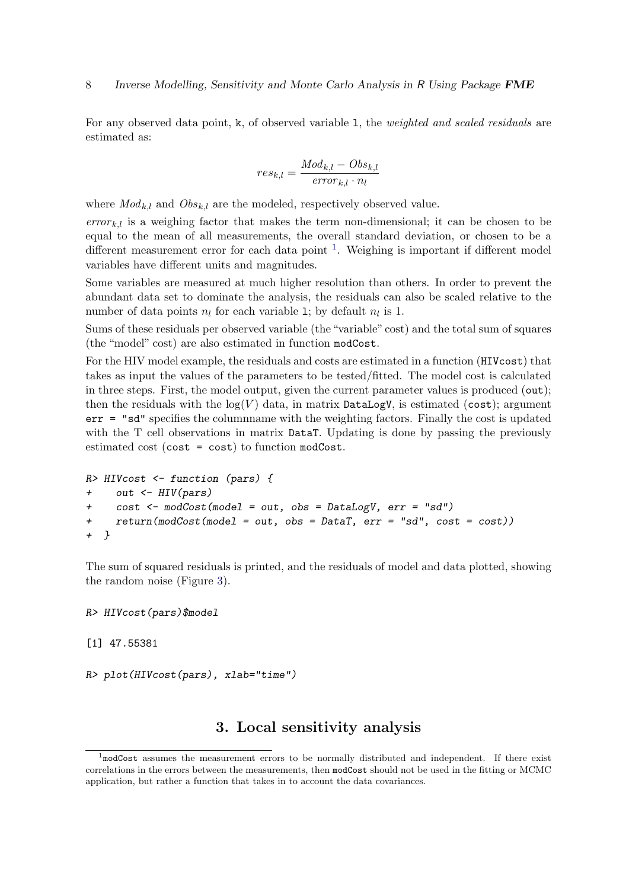For any observed data point, k, of observed variable 1, the *weighted and scaled residuals* are estimated as:

$$
res_{k,l} = \frac{Mod_{k,l} - Obs_{k,l}}{error_{k,l} \cdot n_l}
$$

where  $Mod_{k,l}$  and  $Obs_{k,l}$  are the modeled, respectively observed value.

 $error_{k,l}$  is a weighing factor that makes the term non-dimensional; it can be chosen to be equal to the mean of all measurements, the overall standard deviation, or chosen to be a different measurement error for each data point <sup>[1](#page-7-0)</sup>. Weighing is important if different model variables have different units and magnitudes.

Some variables are measured at much higher resolution than others. In order to prevent the abundant data set to dominate the analysis, the residuals can also be scaled relative to the number of data points  $n_l$  for each variable 1; by default  $n_l$  is 1.

Sums of these residuals per observed variable (the "variable" cost) and the total sum of squares (the "model" cost) are also estimated in function modCost.

For the HIV model example, the residuals and costs are estimated in a function (HIVcost) that takes as input the values of the parameters to be tested/fitted. The model cost is calculated in three steps. First, the model output, given the current parameter values is produced (out); then the residuals with the  $log(V)$  data, in matrix DataLogV, is estimated (cost); argument err = "sd" specifies the columnname with the weighting factors. Finally the cost is updated with the T cell observations in matrix DataT. Updating is done by passing the previously estimated cost (cost = cost) to function modCost.

```
R> HIVcost <- function (pars) {
+ out <- HIV(pars)
+ cost <- modCost(model = out, obs = DataLogV, err = "sd")
+ return(modCost(model = out, obs = DataT, err = "sd", cost = cost))
+ }
```
The sum of squared residuals is printed, and the residuals of model and data plotted, showing the random noise (Figure [3\)](#page-8-0).

R> HIVcost(pars)\$model

[1] 47.55381

```
R> plot(HIVcost(pars), xlab="time")
```
# 3. Local sensitivity analysis

<span id="page-7-1"></span><span id="page-7-0"></span><sup>&</sup>lt;sup>1</sup>modCost assumes the measurement errors to be normally distributed and independent. If there exist correlations in the errors between the measurements, then modCost should not be used in the fitting or MCMC application, but rather a function that takes in to account the data covariances.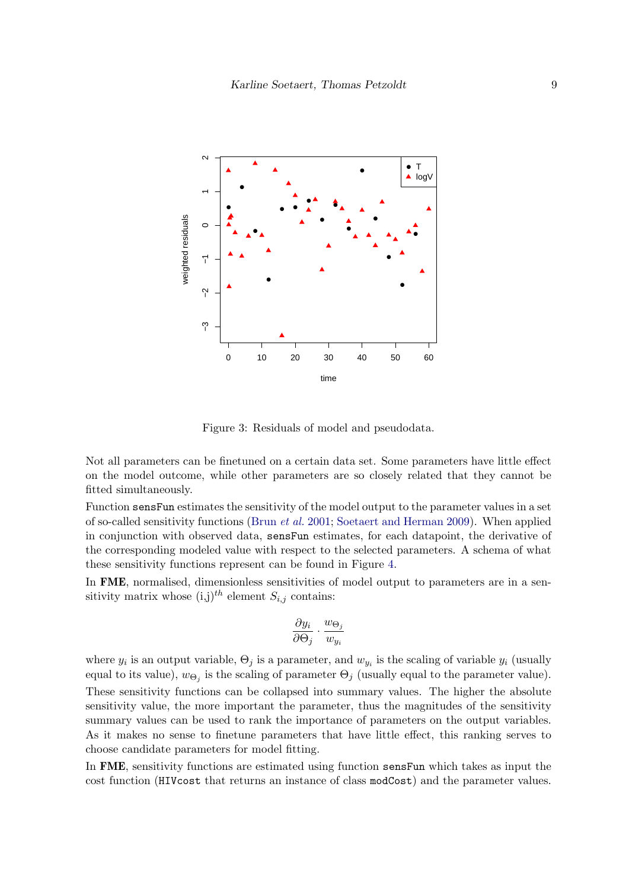

<span id="page-8-0"></span>Figure 3: Residuals of model and pseudodata.

Not all parameters can be finetuned on a certain data set. Some parameters have little effect on the model outcome, while other parameters are so closely related that they cannot be fitted simultaneously.

Function sensFun estimates the sensitivity of the model output to the parameter values in a set of so-called sensitivity functions [\(Brun](#page-24-2) et al. [2001;](#page-24-2) [Soetaert and Herman](#page-26-7) [2009\)](#page-26-7). When applied in conjunction with observed data, sensFun estimates, for each datapoint, the derivative of the corresponding modeled value with respect to the selected parameters. A schema of what these sensitivity functions represent can be found in Figure [4.](#page-9-0)

In FME, normalised, dimensionless sensitivities of model output to parameters are in a sensitivity matrix whose  $(i,j)^{th}$  element  $S_{i,j}$  contains:

$$
\frac{\partial y_i}{\partial \Theta_j} \cdot \frac{w_{\Theta_j}}{w_{y_i}}
$$

where  $y_i$  is an output variable,  $\Theta_j$  is a parameter, and  $w_{y_i}$  is the scaling of variable  $y_i$  (usually equal to its value),  $w_{\Theta_j}$  is the scaling of parameter  $\Theta_j$  (usually equal to the parameter value). These sensitivity functions can be collapsed into summary values. The higher the absolute sensitivity value, the more important the parameter, thus the magnitudes of the sensitivity summary values can be used to rank the importance of parameters on the output variables. As it makes no sense to finetune parameters that have little effect, this ranking serves to choose candidate parameters for model fitting.

In FME, sensitivity functions are estimated using function sensFun which takes as input the cost function (HIVcost that returns an instance of class modCost) and the parameter values.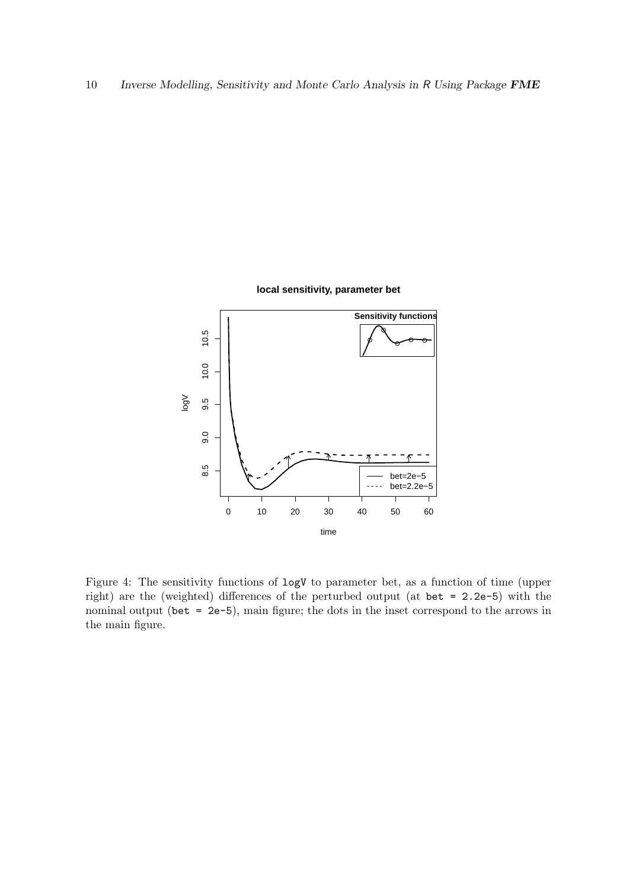

<span id="page-9-0"></span>Figure 4: The sensitivity functions of logV to parameter bet, as a function of time (upper right) are the (weighted) differences of the perturbed output (at bet = 2.2e-5) with the nominal output (bet = 2e-5), main figure; the dots in the inset correspond to the arrows in the main figure.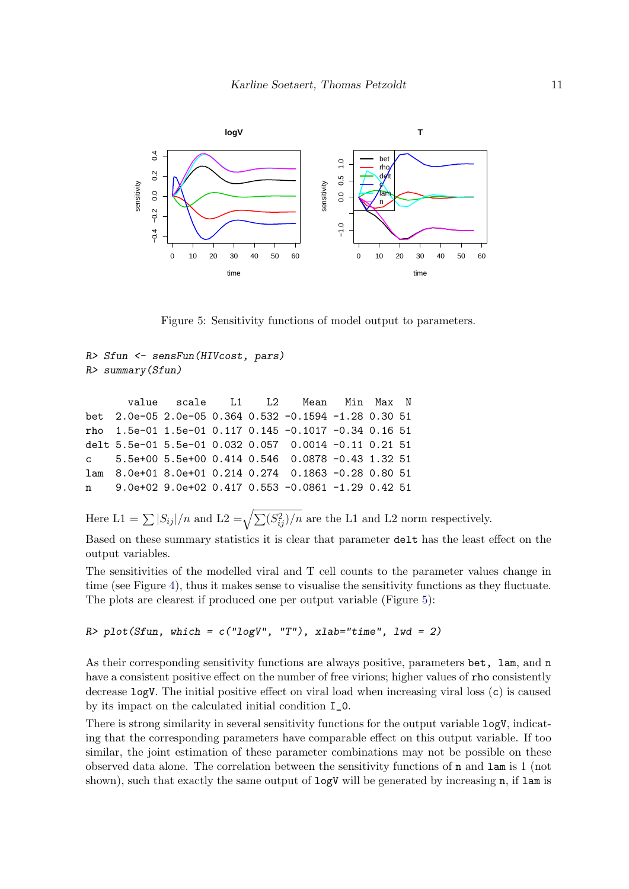

<span id="page-10-0"></span>Figure 5: Sensitivity functions of model output to parameters.

```
R> Sfun <- sensFun(HIVcost, pars)
R> summary(Sfun)
```

|                                                              | value scale L1 L2 Mean Min Max N |  |  |  |
|--------------------------------------------------------------|----------------------------------|--|--|--|
| bet 2.0e-05 2.0e-05 0.364 0.532 -0.1594 -1.28 0.30 51        |                                  |  |  |  |
| rho $1.5e-01$ 1.5e-01 0.117 0.145 -0.1017 -0.34 0.16 51      |                                  |  |  |  |
| delt 5.5e-01  5.5e-01  0.032  0.057  0.0014  -0.11  0.21  51 |                                  |  |  |  |
| c 5.5e+00 5.5e+00 0.414 0.546 0.0878 -0.43 1.32 51           |                                  |  |  |  |
| lam 8.0e+01 8.0e+01 0.214 0.274 0.1863 -0.28 0.80 51         |                                  |  |  |  |
| n   9.0e+02 9.0e+02 0.417 0.553 -0.0861 -1.29 0.42 51        |                                  |  |  |  |
|                                                              |                                  |  |  |  |

Here  $L1 = \sum |S_{ij}|/n$  and  $L2 = \sqrt{\sum (S_{ij}^2)/n}$  are the L1 and L2 norm respectively.

Based on these summary statistics it is clear that parameter delt has the least effect on the output variables.

The sensitivities of the modelled viral and T cell counts to the parameter values change in time (see Figure [4\)](#page-9-0), thus it makes sense to visualise the sensitivity functions as they fluctuate. The plots are clearest if produced one per output variable (Figure [5\)](#page-10-0):

```
R> plot(Sfun, which = c("logV", "T"), xlab="time", lwd = 2)
```
As their corresponding sensitivity functions are always positive, parameters bet, lam, and n have a consistent positive effect on the number of free virions; higher values of rho consistently decrease logV. The initial positive effect on viral load when increasing viral loss (c) is caused by its impact on the calculated initial condition I\_0.

There is strong similarity in several sensitivity functions for the output variable logV, indicating that the corresponding parameters have comparable effect on this output variable. If too similar, the joint estimation of these parameter combinations may not be possible on these observed data alone. The correlation between the sensitivity functions of n and lam is 1 (not shown), such that exactly the same output of  $logV$  will be generated by increasing n, if lam is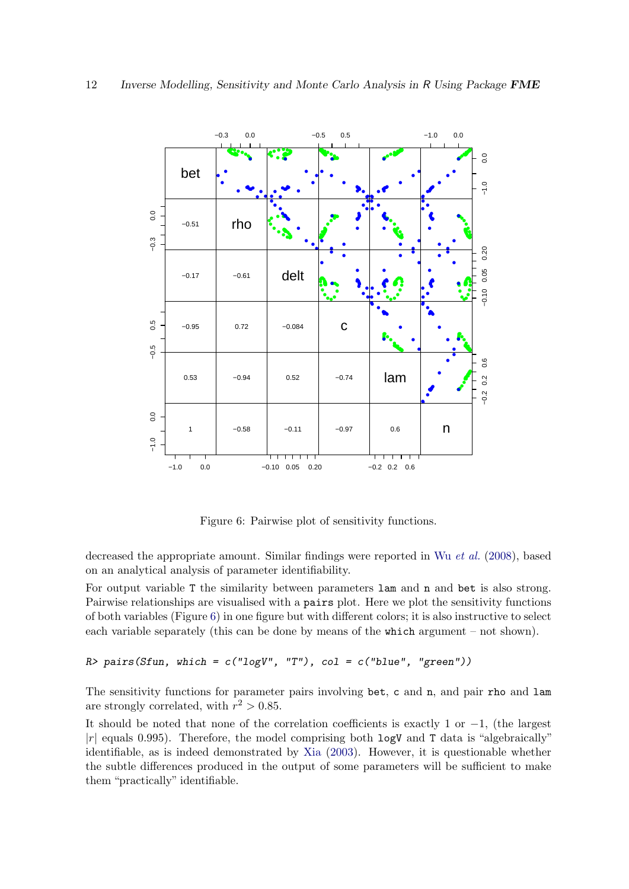

<span id="page-11-0"></span>Figure 6: Pairwise plot of sensitivity functions.

decreased the appropriate amount. Similar findings were reported in Wu [et al.](#page-26-11) [\(2008\)](#page-26-11), based on an analytical analysis of parameter identifiability.

For output variable T the similarity between parameters  $\text{lam}$  and  $\text{h}$  and bet is also strong. Pairwise relationships are visualised with a pairs plot. Here we plot the sensitivity functions of both variables (Figure [6\)](#page-11-0) in one figure but with different colors; it is also instructive to select each variable separately (this can be done by means of the which argument – not shown).

#### $R$ > pairs(Sfun, which = c("logV", "T"), col = c("blue", "green"))

The sensitivity functions for parameter pairs involving bet, c and n, and pair rho and lam are strongly correlated, with  $r^2 > 0.85$ .

It should be noted that none of the correlation coefficients is exactly 1 or  $-1$ , (the largest  $|r|$  equals 0.995). Therefore, the model comprising both  $logV$  and T data is "algebraically" identifiable, as is indeed demonstrated by [Xia](#page-26-10) [\(2003\)](#page-26-10). However, it is questionable whether the subtle differences produced in the output of some parameters will be sufficient to make them "practically" identifiable.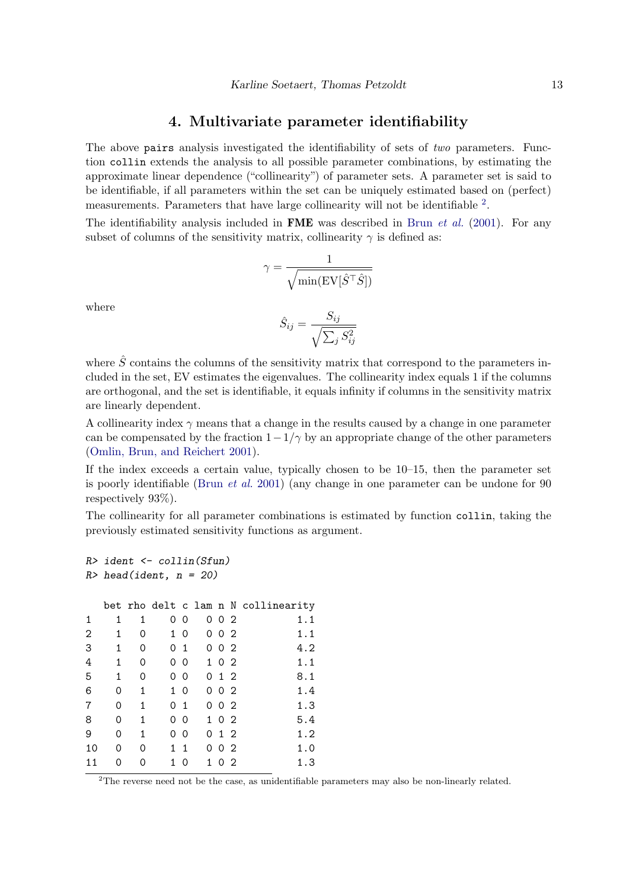## 4. Multivariate parameter identifiability

<span id="page-12-1"></span>The above pairs analysis investigated the identifiability of sets of *two* parameters. Function collin extends the analysis to all possible parameter combinations, by estimating the approximate linear dependence ("collinearity") of parameter sets. A parameter set is said to be identifiable, if all parameters within the set can be uniquely estimated based on (perfect) measurements. Parameters that have large collinearity will not be identifiable <sup>[2](#page-12-0)</sup>.

The identifiability analysis included in **FME** was described in Brun *[et al.](#page-24-2)* [\(2001\)](#page-24-2). For any subset of columns of the sensitivity matrix, collinearity  $\gamma$  is defined as:

$$
\gamma = \frac{1}{\sqrt{\min(\text{EV}[\hat{S}^\top \hat{S}])}}
$$

where

$$
\hat{S}_{ij} = \frac{S_{ij}}{\sqrt{\sum_j S_{ij}^2}}
$$

where  $\hat{S}$  contains the columns of the sensitivity matrix that correspond to the parameters included in the set, EV estimates the eigenvalues. The collinearity index equals 1 if the columns are orthogonal, and the set is identifiable, it equals infinity if columns in the sensitivity matrix are linearly dependent.

A collinearity index  $\gamma$  means that a change in the results caused by a change in one parameter can be compensated by the fraction  $1-\frac{1}{\gamma}$  by an appropriate change of the other parameters [\(Omlin, Brun, and Reichert](#page-25-9) [2001\)](#page-25-9).

If the index exceeds a certain value, typically chosen to be 10–15, then the parameter set is poorly identifiable [\(Brun](#page-24-2) et al. [2001\)](#page-24-2) (any change in one parameter can be undone for 90 respectively 93%).

The collinearity for all parameter combinations is estimated by function collin, taking the previously estimated sensitivity functions as argument.

```
R> ident <- collin(Sfun)
R> head(ident, n = 20)
 bet rho delt c lam n N collinearity
1 1 1 0 0 0 0 2 1.1
2 1 0 1 0 0 0 2 1.1
3 1 0 0 1 0 0 2 4.2
4 1 0 0 0 1 0 2 1.1
5 1 0 0 0 0 1 2 8.1
6 0 1 1 0 0 0 2 1.4
7 0 1 0 1 0 0 2 1.3
8 0 1 0 0 1 0 2 5.4
9 0 1 0 0 0 1 2 1.2
10 0 0 1 1 0 0 2 1.0
11 0 0 1 0 1 0 2 1.3
```
<span id="page-12-0"></span><sup>2</sup>The reverse need not be the case, as unidentifiable parameters may also be non-linearly related.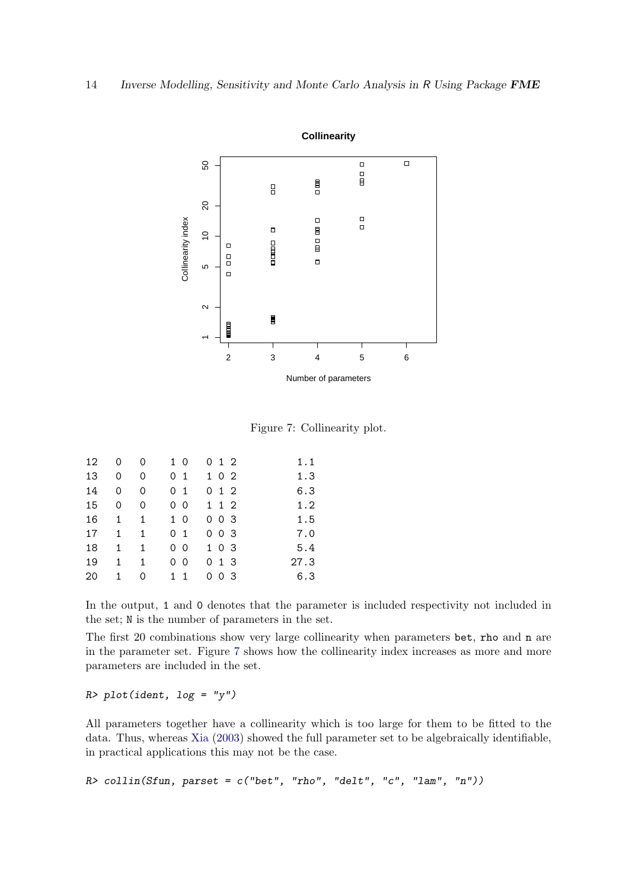

<span id="page-13-0"></span>Figure 7: Collinearity plot.

| 12 | 0            | 0            | 1 0            | 012   | 1.1  |
|----|--------------|--------------|----------------|-------|------|
| 13 | 0            | 0            | 0 <sub>1</sub> | 1 0 2 | 1.3  |
| 14 | 0            | 0            | 0 <sub>1</sub> | 0 1 2 | 6.3  |
| 15 | 0            | 0            | 0 <sub>0</sub> | 1 1 2 | 1.2  |
| 16 | 1            | 1            | 1 0            | 0 0 3 | 1.5  |
| 17 | $\mathbf{1}$ | $\mathbf{1}$ | 0 <sub>1</sub> | 0 0 3 | 7.0  |
| 18 | 1            | 1            | 0 <sub>0</sub> | 1 0 3 | 5.4  |
| 19 | 1            | 1            | 0 <sub>0</sub> | 0 1 3 | 27.3 |
| 20 | 1.           | 0            | 11             | 003   | 6.3  |

In the output, 1 and 0 denotes that the parameter is included respectivity not included in the set; N is the number of parameters in the set.

The first 20 combinations show very large collinearity when parameters bet, rho and n are in the parameter set. Figure [7](#page-13-0) shows how the collinearity index increases as more and more parameters are included in the set.

#### $R$ > plot(ident, log = "y")

All parameters together have a collinearity which is too large for them to be fitted to the data. Thus, whereas [Xia](#page-26-10) [\(2003\)](#page-26-10) showed the full parameter set to be algebraically identifiable, in practical applications this may not be the case.

```
R> collin(Sfun, parset = c("bet", "rho", "delt", "c", "lam", "n"))
```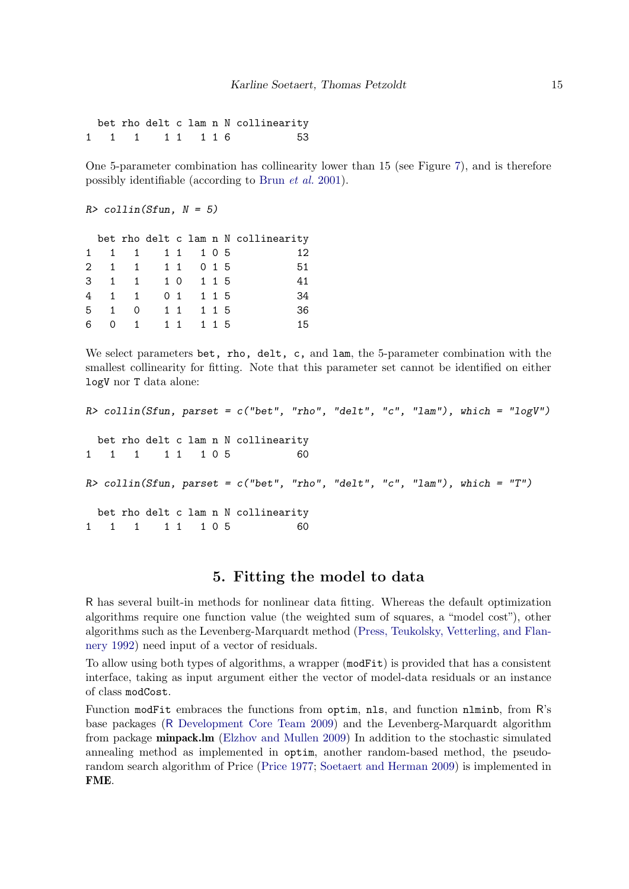bet rho delt c lam n N collinearity 1 1 1 1 1 1 1 1 1 6 53

One 5-parameter combination has collinearity lower than 15 (see Figure [7\)](#page-13-0), and is therefore possibly identifiable (according to Brun [et al.](#page-24-2) [2001\)](#page-24-2).

```
R> collin(Sfun, N = 5)
```

|           |             |                 |  |  | bet rho delt c lam n N collinearity |
|-----------|-------------|-----------------|--|--|-------------------------------------|
| $1 \quad$ |             | 1 1 1 1 1 0 5   |  |  | 12                                  |
|           |             | 2 1 1 1 1 0 1 5 |  |  | 51                                  |
|           |             | 3 1 1 1 0 1 1 5 |  |  | 41                                  |
|           | 4           | 1 1 0 1 1 1 5   |  |  | 34                                  |
|           | $5 \quad 1$ | $0 \t11 \t115$  |  |  | 36                                  |
| 6         |             | 0 1 1 1 1 1 1 5 |  |  | 15                                  |

We select parameters bet, rho, delt, c, and lam, the 5-parameter combination with the smallest collinearity for fitting. Note that this parameter set cannot be identified on either logV nor T data alone:

```
R> collin(Sfun, parset = c("bet", "rho", "delt", "c", "lam"), which = "logV")
 bet rho delt c lam n N collinearity
1 1 1 1 1 1 0 5 60
R> collin(Sfun, parset = c("bet", "rho", "delta", "c", "lam"), which = "T")bet rho delt c lam n N collinearity
1 1 1 1 1 1 0 5 60
```
# 5. Fitting the model to data

<span id="page-14-0"></span>R has several built-in methods for nonlinear data fitting. Whereas the default optimization algorithms require one function value (the weighted sum of squares, a "model cost"), other algorithms such as the Levenberg-Marquardt method [\(Press, Teukolsky, Vetterling, and Flan](#page-25-10)[nery](#page-25-10) [1992\)](#page-25-10) need input of a vector of residuals.

To allow using both types of algorithms, a wrapper (modFit) is provided that has a consistent interface, taking as input argument either the vector of model-data residuals or an instance of class modCost.

Function modFit embraces the functions from optim, nls, and function nlminb, from R's base packages (R [Development Core Team](#page-26-1) [2009\)](#page-26-1) and the Levenberg-Marquardt algorithm from package minpack.lm [\(Elzhov and Mullen](#page-24-1) [2009\)](#page-24-1) In addition to the stochastic simulated annealing method as implemented in optim, another random-based method, the pseudorandom search algorithm of Price [\(Price](#page-25-8) [1977;](#page-25-8) [Soetaert and Herman](#page-26-7) [2009\)](#page-26-7) is implemented in FME.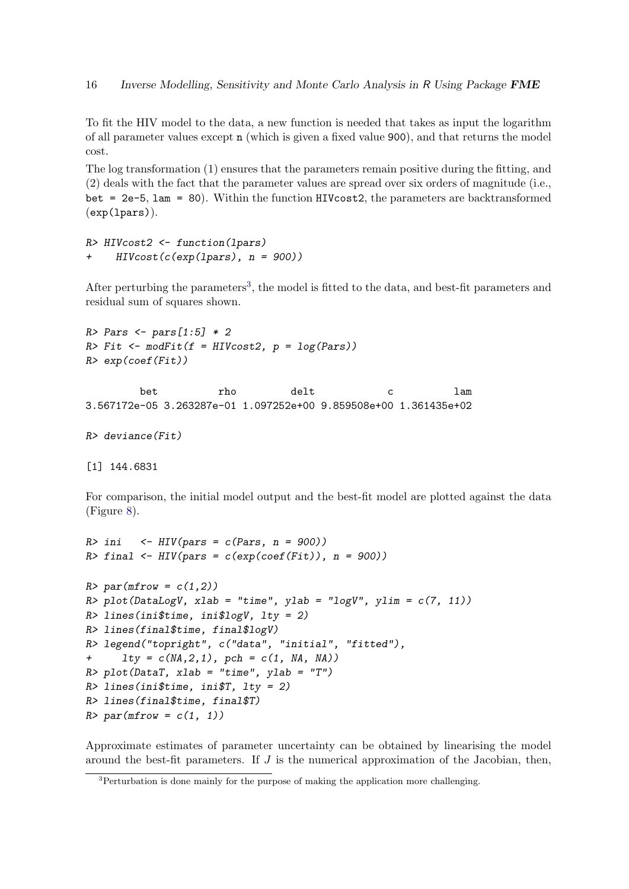To fit the HIV model to the data, a new function is needed that takes as input the logarithm of all parameter values except n (which is given a fixed value 900), and that returns the model cost.

The log transformation (1) ensures that the parameters remain positive during the fitting, and (2) deals with the fact that the parameter values are spread over six orders of magnitude (i.e., bet = 2e-5, lam = 80). Within the function HIVcost2, the parameters are backtransformed (exp(lpars)).

```
R> HIVcost2 <- function(lpars)
    HIVcost(c(exp(lpars), n = 900))
```
After perturbing the parameters<sup>[3](#page-15-0)</sup>, the model is fitted to the data, and best-fit parameters and residual sum of squares shown.

```
R> Pars <- pars[1:5] * 2
R> Fit <- modFit(f = HIVcost2, p = log(Pars))
R> exp(coef(Fit))
```
bet rho delt c lam 3.567172e-05 3.263287e-01 1.097252e+00 9.859508e+00 1.361435e+02

```
R> deviance(Fit)
```
[1] 144.6831

For comparison, the initial model output and the best-fit model are plotted against the data (Figure [8\)](#page-16-0).

```
R>ini <- HIV(pars = c(Pars, n = 900))
R> final \leftarrow HIV(pars = c(exp(coef(Fit)), n = 900))
R> par(mfrow = c(1,2))
R> plot(DataLogV, xlab = "time", ylab = "logV", ylim = c(7, 11))
R> lines(ini$time, ini$logV, lty = 2)
R> lines(final$time, final$logV)
R> legend("topright", c("data", "initial", "fitted"),
+ lty = c(NA, 2, 1), pch = c(1, NA, NA))R> plot(DataT, xlab = "time", ylab = "T")
R> lines(ini$time, ini$T, lty = 2)
R> lines(final$time, final$T)
R> par(mfrow = c(1, 1))
```
Approximate estimates of parameter uncertainty can be obtained by linearising the model around the best-fit parameters. If  $J$  is the numerical approximation of the Jacobian, then,

<span id="page-15-0"></span><sup>&</sup>lt;sup>3</sup>Perturbation is done mainly for the purpose of making the application more challenging.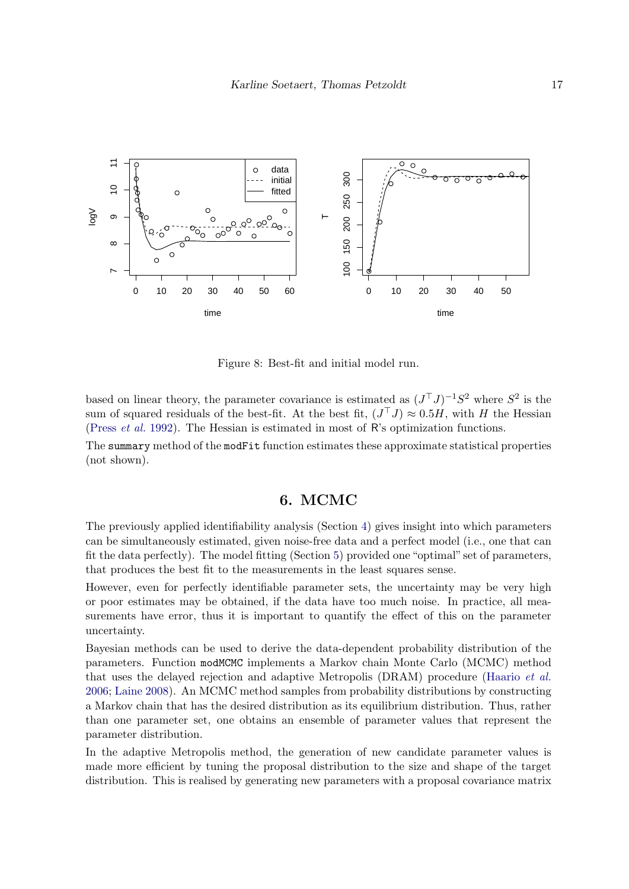

<span id="page-16-0"></span>Figure 8: Best-fit and initial model run.

based on linear theory, the parameter covariance is estimated as  $(J<sup>T</sup> J)<sup>-1</sup> S<sup>2</sup>$  where  $S<sup>2</sup>$  is the sum of squared residuals of the best-fit. At the best fit,  $(J<sup>T</sup> J) \approx 0.5H$ , with H the Hessian [\(Press](#page-25-10) et al. [1992\)](#page-25-10). The Hessian is estimated in most of R's optimization functions.

The summary method of the modFit function estimates these approximate statistical properties (not shown).

## 6. MCMC

The previously applied identifiability analysis (Section [4\)](#page-12-1) gives insight into which parameters can be simultaneously estimated, given noise-free data and a perfect model (i.e., one that can fit the data perfectly). The model fitting (Section [5\)](#page-14-0) provided one "optimal" set of parameters, that produces the best fit to the measurements in the least squares sense.

However, even for perfectly identifiable parameter sets, the uncertainty may be very high or poor estimates may be obtained, if the data have too much noise. In practice, all measurements have error, thus it is important to quantify the effect of this on the parameter uncertainty.

Bayesian methods can be used to derive the data-dependent probability distribution of the parameters. Function modMCMC implements a Markov chain Monte Carlo (MCMC) method that uses the delayed rejection and adaptive Metropolis (DRAM) procedure [\(Haario](#page-25-7) et al. [2006;](#page-25-7) [Laine](#page-25-11) [2008\)](#page-25-11). An MCMC method samples from probability distributions by constructing a Markov chain that has the desired distribution as its equilibrium distribution. Thus, rather than one parameter set, one obtains an ensemble of parameter values that represent the parameter distribution.

In the adaptive Metropolis method, the generation of new candidate parameter values is made more efficient by tuning the proposal distribution to the size and shape of the target distribution. This is realised by generating new parameters with a proposal covariance matrix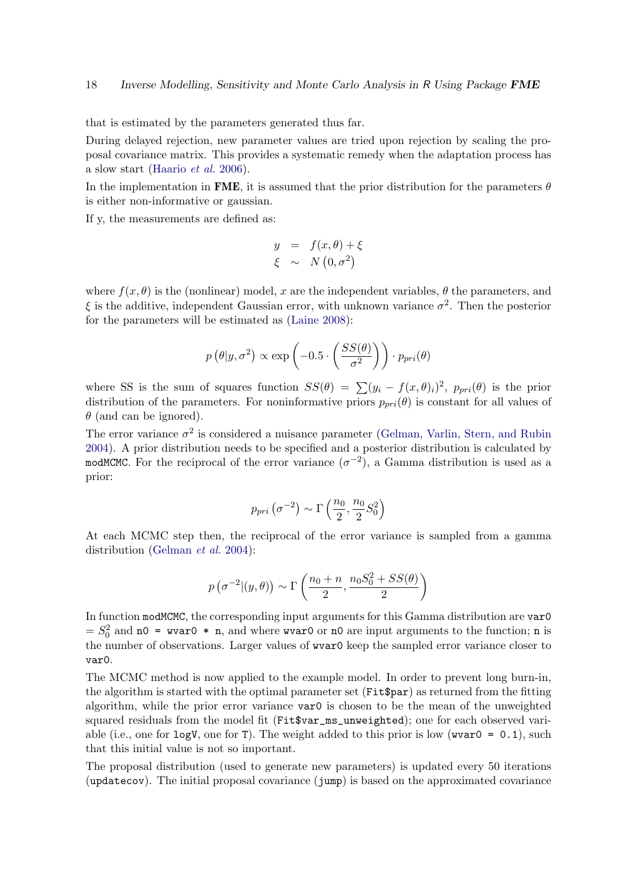that is estimated by the parameters generated thus far.

During delayed rejection, new parameter values are tried upon rejection by scaling the proposal covariance matrix. This provides a systematic remedy when the adaptation process has a slow start [\(Haario](#page-25-7) et al. [2006\)](#page-25-7).

In the implementation in FME, it is assumed that the prior distribution for the parameters  $\theta$ is either non-informative or gaussian.

If y, the measurements are defined as:

$$
y = f(x, \theta) + \xi
$$
  

$$
\xi \sim N(0, \sigma^2)
$$

where  $f(x, \theta)$  is the (nonlinear) model, x are the independent variables,  $\theta$  the parameters, and  $\xi$  is the additive, independent Gaussian error, with unknown variance  $\sigma^2$ . Then the posterior for the parameters will be estimated as [\(Laine](#page-25-11) [2008\)](#page-25-11):

$$
p(\theta|y, \sigma^2) \propto \exp\left(-0.5 \cdot \left(\frac{SS(\theta)}{\sigma^2}\right)\right) \cdot p_{pri}(\theta)
$$

where SS is the sum of squares function  $SS(\theta) = \sum (y_i - f(x, \theta)_i)^2$ ,  $p_{pri}(\theta)$  is the prior distribution of the parameters. For noninformative priors  $p_{pri}(\theta)$  is constant for all values of  $\theta$  (and can be ignored).

The error variance  $\sigma^2$  is considered a nuisance parameter [\(Gelman, Varlin, Stern, and Rubin](#page-25-12) [2004\)](#page-25-12). A prior distribution needs to be specified and a posterior distribution is calculated by modMCMC. For the reciprocal of the error variance  $(\sigma^{-2})$ , a Gamma distribution is used as a prior:

$$
p_{pri} \left( \sigma^{-2} \right) \sim \Gamma \left( \frac{n_0}{2}, \frac{n_0}{2} S_0^2 \right)
$$

At each MCMC step then, the reciprocal of the error variance is sampled from a gamma distribution [\(Gelman](#page-25-12) et al. [2004\)](#page-25-12):

$$
p\left(\sigma^{-2} | (y, \theta)\right) \sim \Gamma\left(\frac{n_0 + n}{2}, \frac{n_0 S_0^2 + SS(\theta)}{2}\right)
$$

In function modMCMC, the corresponding input arguments for this Gamma distribution are var0  $S_0^2$  and n0 = wvar0  $*$  n, and where wvar0 or n0 are input arguments to the function; n is the number of observations. Larger values of wvar0 keep the sampled error variance closer to var0.

The MCMC method is now applied to the example model. In order to prevent long burn-in, the algorithm is started with the optimal parameter set (Fit\$par) as returned from the fitting algorithm, while the prior error variance var0 is chosen to be the mean of the unweighted squared residuals from the model fit (Fit\$var\_ms\_unweighted); one for each observed variable (i.e., one for logV, one for T). The weight added to this prior is low (wvar0 = 0.1), such that this initial value is not so important.

The proposal distribution (used to generate new parameters) is updated every 50 iterations (updatecov). The initial proposal covariance (jump) is based on the approximated covariance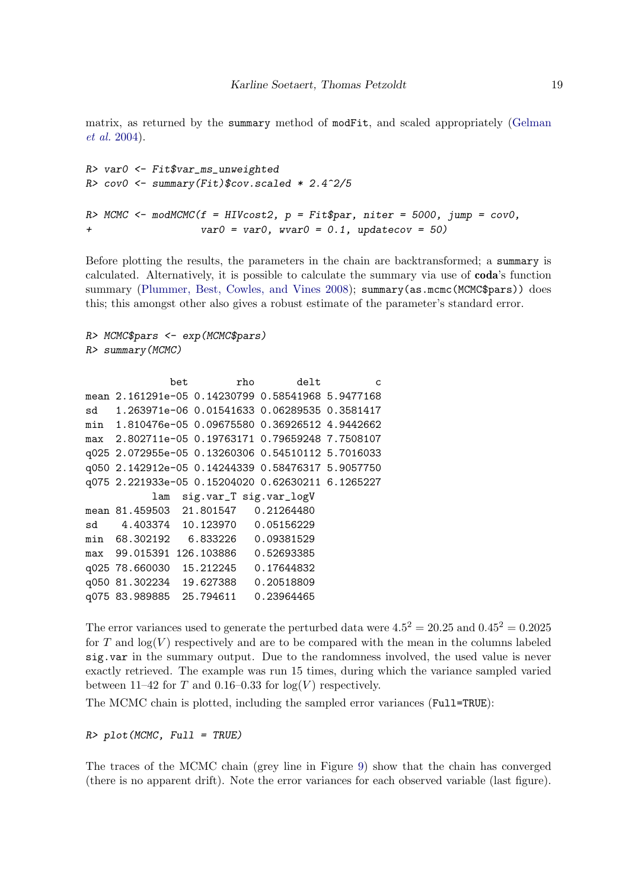matrix, as returned by the summary method of modFit, and scaled appropriately [\(Gelman](#page-25-12) [et al.](#page-25-12) [2004\)](#page-25-12).

```
R> var0 <- Fit$var_ms_unweighted
R> cov0 <- summary(Fit)$cov.scaled * 2.4^2/5
R> MCMC <- modMCMC(f = HIVcost2, p = Fit$par, niter = 5000, jump = cov0,
+ var0 = var0, wvar0 = 0.1, updatecov = 50)
```
Before plotting the results, the parameters in the chain are backtransformed; a summary is calculated. Alternatively, it is possible to calculate the summary via use of coda's function summary [\(Plummer, Best, Cowles, and Vines](#page-25-13) [2008\)](#page-25-13); summary (as.mcmc (MCMC\$pars)) does this; this amongst other also gives a robust estimate of the parameter's standard error.

```
R> MCMC$pars <- exp(MCMC$pars)
R> summary(MCMC)
```

```
bet rho delt c
mean 2.161291e-05 0.14230799 0.58541968 5.9477168
sd 1.263971e-06 0.01541633 0.06289535 0.3581417
min 1.810476e-05 0.09675580 0.36926512 4.9442662
max 2.802711e-05 0.19763171 0.79659248 7.7508107
q025 2.072955e-05 0.13260306 0.54510112 5.7016033
q050 2.142912e-05 0.14244339 0.58476317 5.9057750
q075 2.221933e-05 0.15204020 0.62630211 6.1265227
          lam sig.var_T sig.var_logV
mean 81.459503 21.801547 0.21264480
sd 4.403374 10.123970 0.05156229
min 68.302192 6.833226 0.09381529
max 99.015391 126.103886 0.52693385
q025 78.660030 15.212245 0.17644832
q050 81.302234 19.627388 0.20518809
q075 83.989885 25.794611 0.23964465
```
The error variances used to generate the perturbed data were  $4.5^2 = 20.25$  and  $0.45^2 = 0.2025$ for T and  $log(V)$  respectively and are to be compared with the mean in the columns labeled sig.var in the summary output. Due to the randomness involved, the used value is never exactly retrieved. The example was run 15 times, during which the variance sampled varied between 11–42 for T and 0.16–0.33 for  $log(V)$  respectively.

The MCMC chain is plotted, including the sampled error variances (Full=TRUE):

 $R$ > plot(MCMC, Full = TRUE)

The traces of the MCMC chain (grey line in Figure [9\)](#page-19-0) show that the chain has converged (there is no apparent drift). Note the error variances for each observed variable (last figure).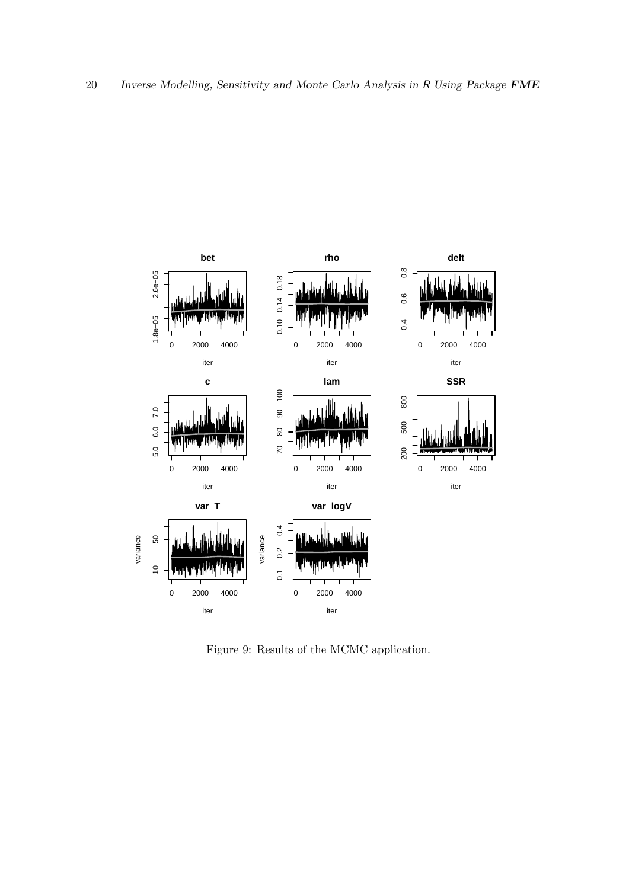

<span id="page-19-0"></span>Figure 9: Results of the MCMC application.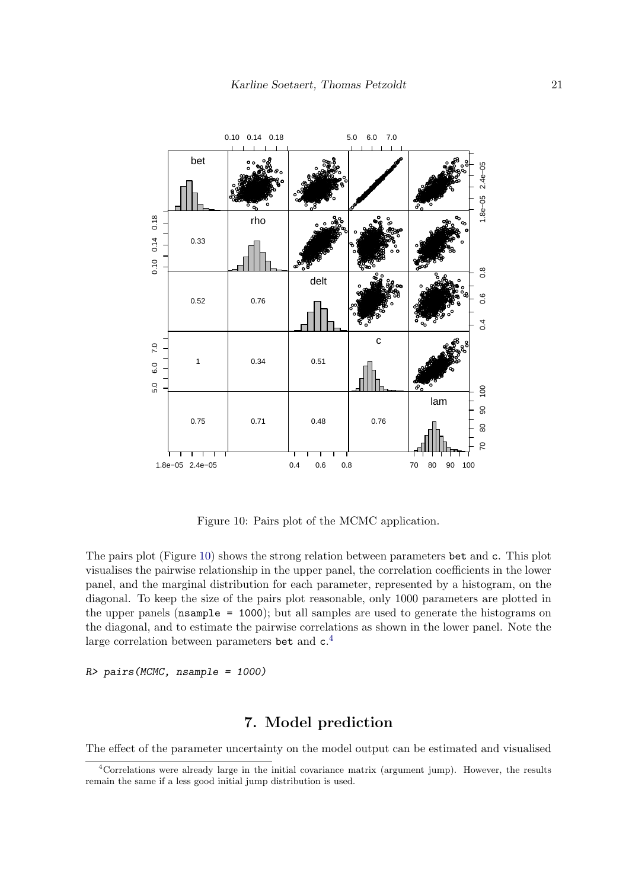

<span id="page-20-0"></span>Figure 10: Pairs plot of the MCMC application.

The pairs plot (Figure 10) shows the strong relation between parameters bet and c. This plot visualises the pairwise relationship in the upper panel, the correlation coefficients in the lower panel, and the marginal distribution for each parameter, represented by a histogram, on the diagonal. To keep the size of the pairs plot reasonable, only 1000 parameters are plotted in the upper panels ( $n$ sample = 1000); but all samples are used to generate the histograms on the diagonal, and to estimate the pairwise correlations as shown in the lower panel. Note the large correlation between parameters bet and  $c<sup>4</sup>$ .

R> pairs (MCMC, nsample = 1000)

# 7. Model prediction

The effect of the parameter uncertainty on the model output can be estimated and visualised

<span id="page-20-1"></span><sup>&</sup>lt;sup>4</sup>Correlations were already large in the initial covariance matrix (argument jump). However, the results remain the same if a less good initial jump distribution is used.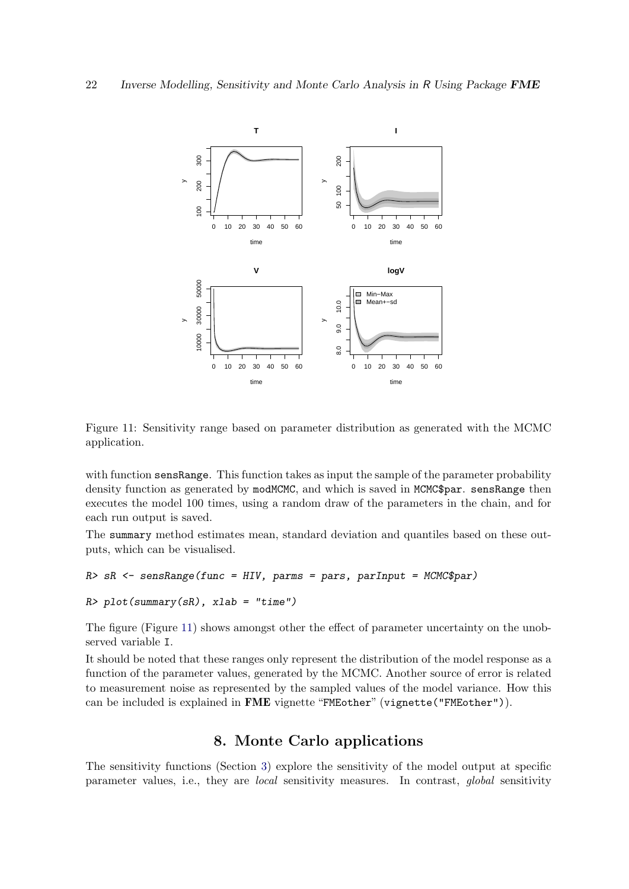

<span id="page-21-0"></span>Figure 11: Sensitivity range based on parameter distribution as generated with the MCMC application.

with function sensRange. This function takes as input the sample of the parameter probability density function as generated by modMCMC, and which is saved in MCMC\$par. sensRange then executes the model 100 times, using a random draw of the parameters in the chain, and for each run output is saved.

The summary method estimates mean, standard deviation and quantiles based on these outputs, which can be visualised.

```
R> sR <- sensRange(func = HIV, parms = pars, parInput = MCMC$par)
R> plot(summary(sR), xlab = "time")
```
The figure (Figure [11\)](#page-21-0) shows amongst other the effect of parameter uncertainty on the unobserved variable I.

It should be noted that these ranges only represent the distribution of the model response as a function of the parameter values, generated by the MCMC. Another source of error is related to measurement noise as represented by the sampled values of the model variance. How this can be included is explained in FME vignette "FMEother" (vignette("FMEother")).

# 8. Monte Carlo applications

The sensitivity functions (Section [3\)](#page-7-1) explore the sensitivity of the model output at specific parameter values, i.e., they are local sensitivity measures. In contrast, global sensitivity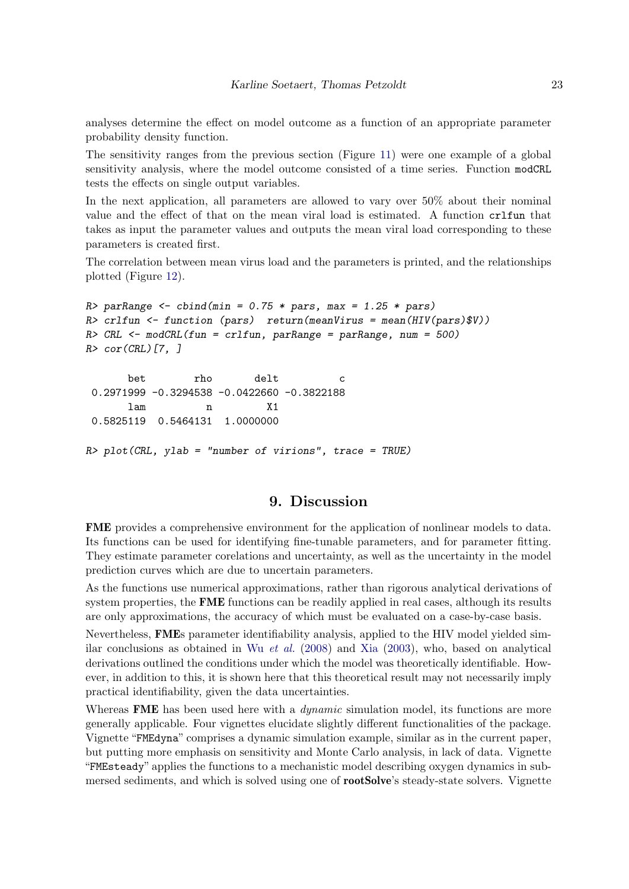analyses determine the effect on model outcome as a function of an appropriate parameter probability density function.

The sensitivity ranges from the previous section (Figure [11\)](#page-21-0) were one example of a global sensitivity analysis, where the model outcome consisted of a time series. Function modCRL tests the effects on single output variables.

In the next application, all parameters are allowed to vary over 50% about their nominal value and the effect of that on the mean viral load is estimated. A function crlfun that takes as input the parameter values and outputs the mean viral load corresponding to these parameters is created first.

The correlation between mean virus load and the parameters is printed, and the relationships plotted (Figure [12\)](#page-23-0).

```
R parRange \le cbind(min = 0.75 * pars, max = 1.25 * pars)
R> crlfun <- function (pars) return(meanVirus = mean(HIV(pars)$V))
R> CRL <- modCRL(fun = crlfun, parRange = parRange, num = 500)
R > cor(CRL)[7, ]bet rho delt c
0.2971999 -0.3294538 -0.0422660 -0.3822188
      lam n X1
0.5825119 0.5464131 1.0000000
R> plot(CRL, ylab = "number of virions", trace = TRUE)
```
## 9. Discussion

FME provides a comprehensive environment for the application of nonlinear models to data. Its functions can be used for identifying fine-tunable parameters, and for parameter fitting. They estimate parameter corelations and uncertainty, as well as the uncertainty in the model prediction curves which are due to uncertain parameters.

As the functions use numerical approximations, rather than rigorous analytical derivations of system properties, the **FME** functions can be readily applied in real cases, although its results are only approximations, the accuracy of which must be evaluated on a case-by-case basis.

Nevertheless, FMEs parameter identifiability analysis, applied to the HIV model yielded similar conclusions as obtained in Wu *[et al.](#page-26-11)*  $(2008)$  and [Xia](#page-26-10)  $(2003)$ , who, based on analytical derivations outlined the conditions under which the model was theoretically identifiable. However, in addition to this, it is shown here that this theoretical result may not necessarily imply practical identifiability, given the data uncertainties.

Whereas FME has been used here with a *dynamic* simulation model, its functions are more generally applicable. Four vignettes elucidate slightly different functionalities of the package. Vignette "FMEdyna" comprises a dynamic simulation example, similar as in the current paper, but putting more emphasis on sensitivity and Monte Carlo analysis, in lack of data. Vignette "FMEsteady" applies the functions to a mechanistic model describing oxygen dynamics in submersed sediments, and which is solved using one of **rootSolve**'s steady-state solvers. Vignette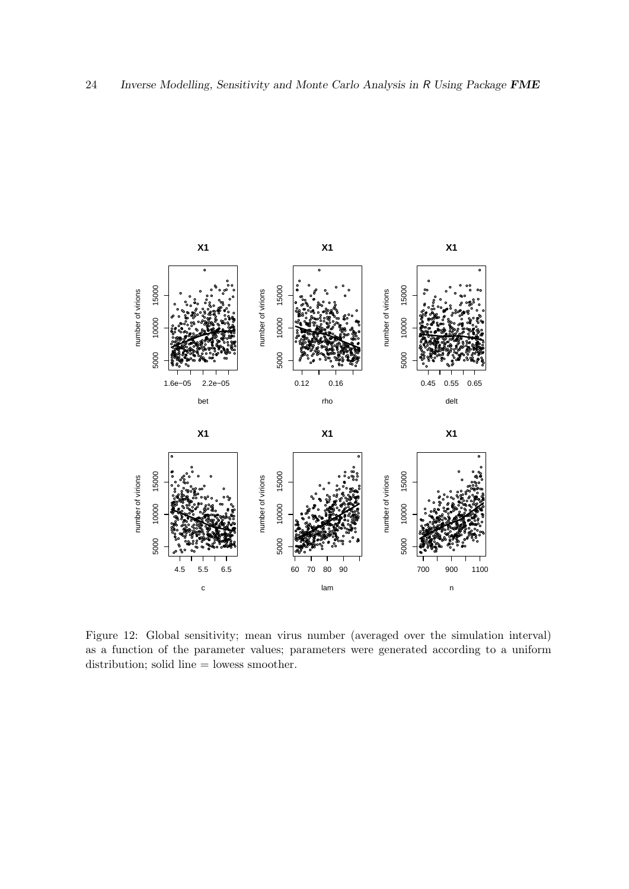

<span id="page-23-0"></span>Figure 12: Global sensitivity; mean virus number (averaged over the simulation interval) as a function of the parameter values; parameters were generated according to a uniform distribution; solid line  $=$  lowess smoother.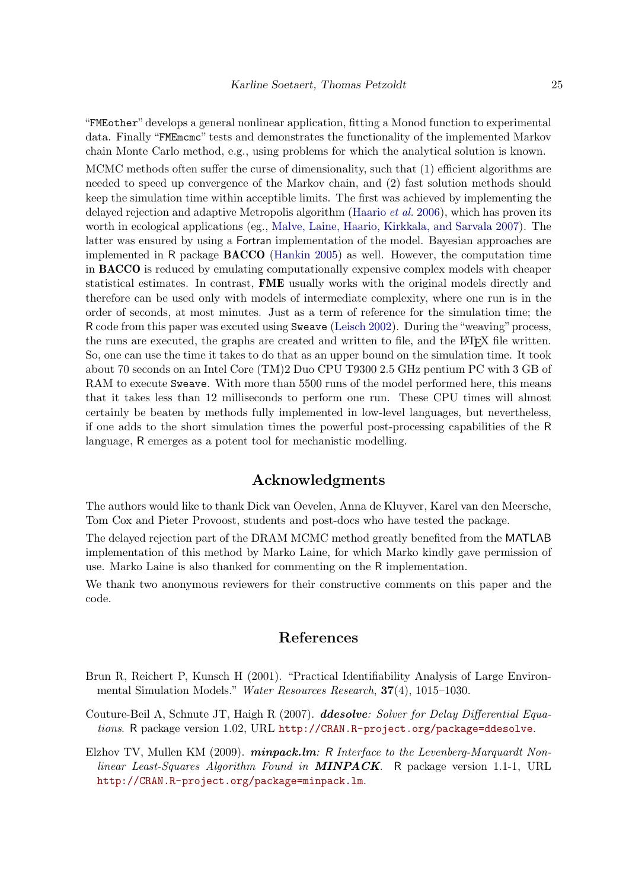"FMEother" develops a general nonlinear application, fitting a Monod function to experimental data. Finally "FMEmcmc" tests and demonstrates the functionality of the implemented Markov chain Monte Carlo method, e.g., using problems for which the analytical solution is known. MCMC methods often suffer the curse of dimensionality, such that (1) efficient algorithms are needed to speed up convergence of the Markov chain, and (2) fast solution methods should keep the simulation time within acceptible limits. The first was achieved by implementing the delayed rejection and adaptive Metropolis algorithm [\(Haario](#page-25-7) *et al.* [2006\)](#page-25-7), which has proven its worth in ecological applications (eg., [Malve, Laine, Haario, Kirkkala, and Sarvala](#page-25-14) [2007\)](#page-25-14). The latter was ensured by using a Fortran implementation of the model. Bayesian approaches are implemented in R package BACCO [\(Hankin](#page-25-6) [2005\)](#page-25-6) as well. However, the computation time in BACCO is reduced by emulating computationally expensive complex models with cheaper statistical estimates. In contrast, FME usually works with the original models directly and therefore can be used only with models of intermediate complexity, where one run is in the order of seconds, at most minutes. Just as a term of reference for the simulation time; the R code from this paper was excuted using Sweave [\(Leisch](#page-25-15) [2002\)](#page-25-15). During the "weaving" process, the runs are executed, the graphs are created and written to file, and the LAT<sub>E</sub>X file written. So, one can use the time it takes to do that as an upper bound on the simulation time. It took about 70 seconds on an Intel Core (TM)2 Duo CPU T9300 2.5 GHz pentium PC with 3 GB of RAM to execute Sweave. With more than 5500 runs of the model performed here, this means that it takes less than 12 milliseconds to perform one run. These CPU times will almost certainly be beaten by methods fully implemented in low-level languages, but nevertheless, if one adds to the short simulation times the powerful post-processing capabilities of the R language, R emerges as a potent tool for mechanistic modelling.

## Acknowledgments

The authors would like to thank Dick van Oevelen, Anna de Kluyver, Karel van den Meersche, Tom Cox and Pieter Provoost, students and post-docs who have tested the package.

The delayed rejection part of the DRAM MCMC method greatly benefited from the MATLAB implementation of this method by Marko Laine, for which Marko kindly gave permission of use. Marko Laine is also thanked for commenting on the R implementation.

We thank two anonymous reviewers for their constructive comments on this paper and the code.

## References

- <span id="page-24-2"></span>Brun R, Reichert P, Kunsch H (2001). "Practical Identifiability Analysis of Large Environmental Simulation Models." Water Resources Research, 37(4), 1015–1030.
- <span id="page-24-0"></span>Couture-Beil A, Schnute JT, Haigh R (2007). **ddesolve:** Solver for Delay Differential Equations. R package version 1.02, URL <http://CRAN.R-project.org/package=ddesolve>.
- <span id="page-24-1"></span>Elzhov TV, Mullen KM (2009). *minpack.lm:* R Interface to the Levenberg-Marquardt Nonlinear Least-Squares Algorithm Found in **MINPACK**. R package version 1.1-1, URL <http://CRAN.R-project.org/package=minpack.lm>.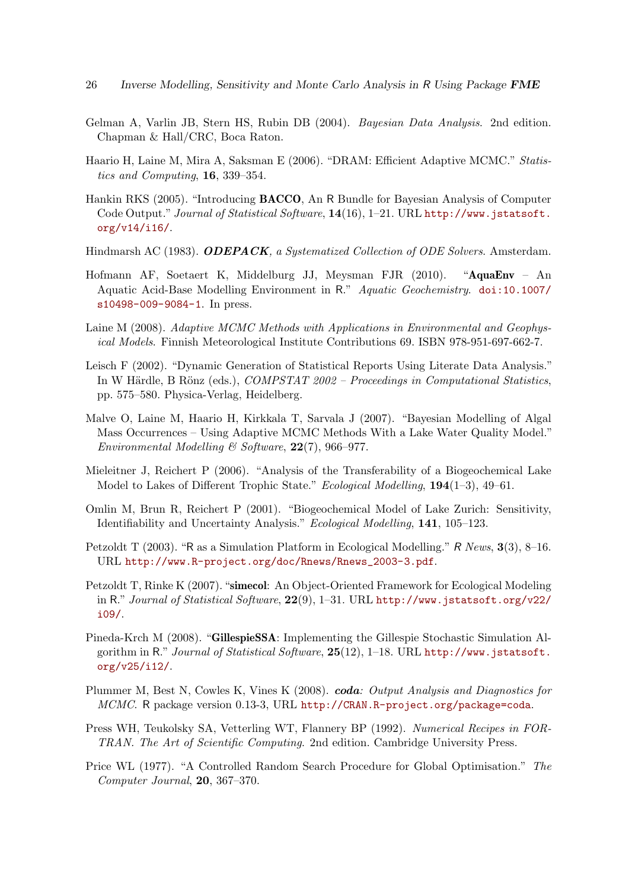- <span id="page-25-12"></span>Gelman A, Varlin JB, Stern HS, Rubin DB (2004). Bayesian Data Analysis. 2nd edition. Chapman & Hall/CRC, Boca Raton.
- <span id="page-25-7"></span>Haario H, Laine M, Mira A, Saksman E (2006). "DRAM: Efficient Adaptive MCMC." Statistics and Computing, 16, 339–354.
- <span id="page-25-6"></span>Hankin RKS (2005). "Introducing BACCO, An R Bundle for Bayesian Analysis of Computer Code Output." Journal of Statistical Software,  $14(16)$ , 1–21. URL [http://www.jstatsoft.](http://www.jstatsoft.org/v14/i16/) [org/v14/i16/](http://www.jstatsoft.org/v14/i16/).
- <span id="page-25-0"></span>Hindmarsh AC (1983). ODEPACK, a Systematized Collection of ODE Solvers. Amsterdam.
- <span id="page-25-3"></span>Hofmann AF, Soetaert K, Middelburg JJ, Meysman FJR (2010). "AquaEnv – An Aquatic Acid-Base Modelling Environment in R." Aquatic Geochemistry. [doi:10.1007/](http://dx.doi.org/10.1007/s10498-009-9084-1) [s10498-009-9084-1](http://dx.doi.org/10.1007/s10498-009-9084-1). In press.
- <span id="page-25-11"></span>Laine M (2008). Adaptive MCMC Methods with Applications in Environmental and Geophysical Models. Finnish Meteorological Institute Contributions 69. ISBN 978-951-697-662-7.
- <span id="page-25-15"></span>Leisch F (2002). "Dynamic Generation of Statistical Reports Using Literate Data Analysis." In W Härdle, B Rönz (eds.),  $COMPSTAT 2002 - Proceedings in Computational Statistics$ , pp. 575–580. Physica-Verlag, Heidelberg.
- <span id="page-25-14"></span>Malve O, Laine M, Haario H, Kirkkala T, Sarvala J (2007). "Bayesian Modelling of Algal Mass Occurrences – Using Adaptive MCMC Methods With a Lake Water Quality Model." Environmental Modelling & Software,  $22(7)$ , 966–977.
- <span id="page-25-5"></span>Mieleitner J, Reichert P (2006). "Analysis of the Transferability of a Biogeochemical Lake Model to Lakes of Different Trophic State." Ecological Modelling, 194(1-3), 49-61.
- <span id="page-25-9"></span>Omlin M, Brun R, Reichert P (2001). "Biogeochemical Model of Lake Zurich: Sensitivity, Identifiability and Uncertainty Analysis." Ecological Modelling, 141, 105–123.
- <span id="page-25-4"></span>Petzoldt T (2003). "R as a Simulation Platform in Ecological Modelling." R News, 3(3), 8–16. URL [http://www.R-project.org/doc/Rnews/Rnews\\_2003-3.pdf](http://www.R-project.org/doc/Rnews/Rnews_2003-3.pdf).
- <span id="page-25-1"></span>Petzoldt T, Rinke K (2007). "simecol: An Object-Oriented Framework for Ecological Modeling in R." Journal of Statistical Software,  $22(9)$ , 1–31. URL [http://www.jstatsoft.org/v22/](http://www.jstatsoft.org/v22/i09/) [i09/](http://www.jstatsoft.org/v22/i09/).
- <span id="page-25-2"></span>Pineda-Krch M (2008). "GillespieSSA: Implementing the Gillespie Stochastic Simulation Algorithm in R." Journal of Statistical Software, 25(12), 1-18. URL [http://www.jstatsoft.](http://www.jstatsoft.org/v25/i12/) [org/v25/i12/](http://www.jstatsoft.org/v25/i12/).
- <span id="page-25-13"></span>Plummer M, Best N, Cowles K, Vines K (2008). coda: Output Analysis and Diagnostics for MCMC. R package version 0.13-3, URL <http://CRAN.R-project.org/package=coda>.
- <span id="page-25-10"></span>Press WH, Teukolsky SA, Vetterling WT, Flannery BP (1992). Numerical Recipes in FOR-TRAN. The Art of Scientific Computing. 2nd edition. Cambridge University Press.
- <span id="page-25-8"></span>Price WL (1977). "A Controlled Random Search Procedure for Global Optimisation." The Computer Journal, 20, 367–370.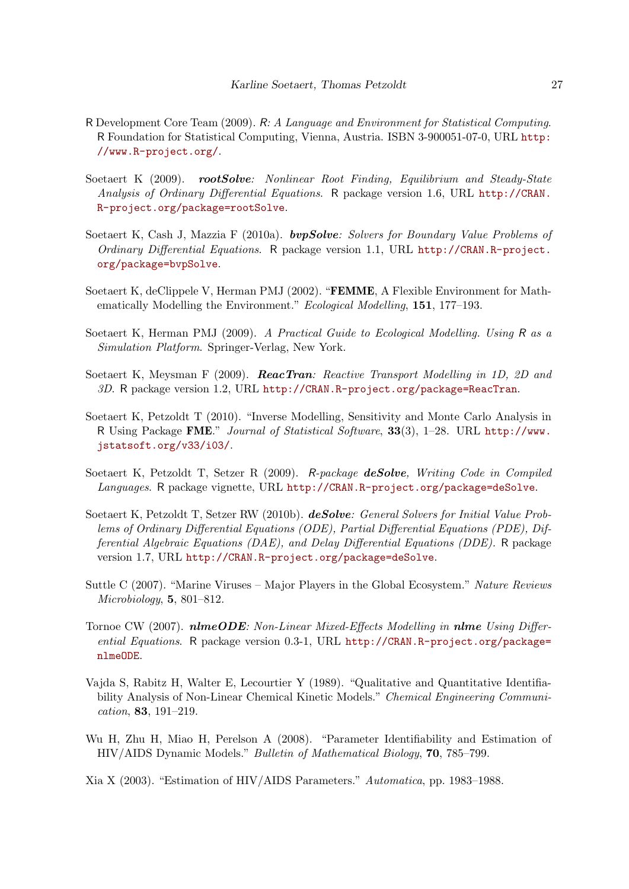- <span id="page-26-1"></span>R Development Core Team (2009). R: A Language and Environment for Statistical Computing. R Foundation for Statistical Computing, Vienna, Austria. ISBN 3-900051-07-0, URL [http:](http://www.R-project.org/) [//www.R-project.org/](http://www.R-project.org/).
- <span id="page-26-4"></span>Soetaert K (2009). rootSolve: Nonlinear Root Finding, Equilibrium and Steady-State Analysis of Ordinary Differential Equations. R package version 1.6, URL [http://CRAN.](http://CRAN.R-project.org/package=rootSolve) [R-project.org/package=rootSolve](http://CRAN.R-project.org/package=rootSolve).
- <span id="page-26-3"></span>Soetaert K, Cash J, Mazzia F  $(2010a)$ . **bvpSolve:** Solvers for Boundary Value Problems of Ordinary Differential Equations. R package version 1.1, URL [http://CRAN.R-project.](http://CRAN.R-project.org/package=bvpSolve) [org/package=bvpSolve](http://CRAN.R-project.org/package=bvpSolve).
- <span id="page-26-9"></span>Soetaert K, deClippele V, Herman PMJ (2002). "FEMME, A Flexible Environment for Mathematically Modelling the Environment." Ecological Modelling, 151, 177–193.
- <span id="page-26-7"></span>Soetaert K, Herman PMJ (2009). A Practical Guide to Ecological Modelling. Using R as a Simulation Platform. Springer-Verlag, New York.
- <span id="page-26-5"></span>Soetaert K, Meysman F (2009). **ReacTran**: Reactive Transport Modelling in 1D, 2D and 3D. R package version 1.2, URL <http://CRAN.R-project.org/package=ReacTran>.
- <span id="page-26-0"></span>Soetaert K, Petzoldt T (2010). "Inverse Modelling, Sensitivity and Monte Carlo Analysis in R Using Package FME." Journal of Statistical Software, 33(3), 1–28. URL [http://www.](http://www.jstatsoft.org/v33/i03/) [jstatsoft.org/v33/i03/](http://www.jstatsoft.org/v33/i03/).
- <span id="page-26-13"></span>Soetaert K, Petzoldt T, Setzer R (2009). R-package deSolve, Writing Code in Compiled Languages. R package vignette, URL <http://CRAN.R-project.org/package=deSolve>.
- <span id="page-26-2"></span>Soetaert K, Petzoldt T, Setzer RW (2010b). **deSolve**: General Solvers for Initial Value Problems of Ordinary Differential Equations (ODE), Partial Differential Equations (PDE), Differential Algebraic Equations (DAE), and Delay Differential Equations (DDE). R package version 1.7, URL <http://CRAN.R-project.org/package=deSolve>.
- <span id="page-26-12"></span>Suttle C (2007). "Marine Viruses – Major Players in the Global Ecosystem." Nature Reviews Microbiology, 5, 801–812.
- <span id="page-26-6"></span>Tornoe CW (2007). **nlmeODE**: Non-Linear Mixed-Effects Modelling in **nlme** Using Differential Equations. R package version 0.3-1, URL [http://CRAN.R-project.org/package=](http://CRAN.R-project.org/package=nlmeODE) [nlmeODE](http://CRAN.R-project.org/package=nlmeODE).
- <span id="page-26-8"></span>Vajda S, Rabitz H, Walter E, Lecourtier Y (1989). "Qualitative and Quantitative Identifiability Analysis of Non-Linear Chemical Kinetic Models." Chemical Engineering Communication, 83, 191–219.
- <span id="page-26-11"></span>Wu H, Zhu H, Miao H, Perelson A (2008). "Parameter Identifiability and Estimation of HIV/AIDS Dynamic Models." Bulletin of Mathematical Biology, 70, 785–799.
- <span id="page-26-10"></span>Xia X (2003). "Estimation of HIV/AIDS Parameters." Automatica, pp. 1983–1988.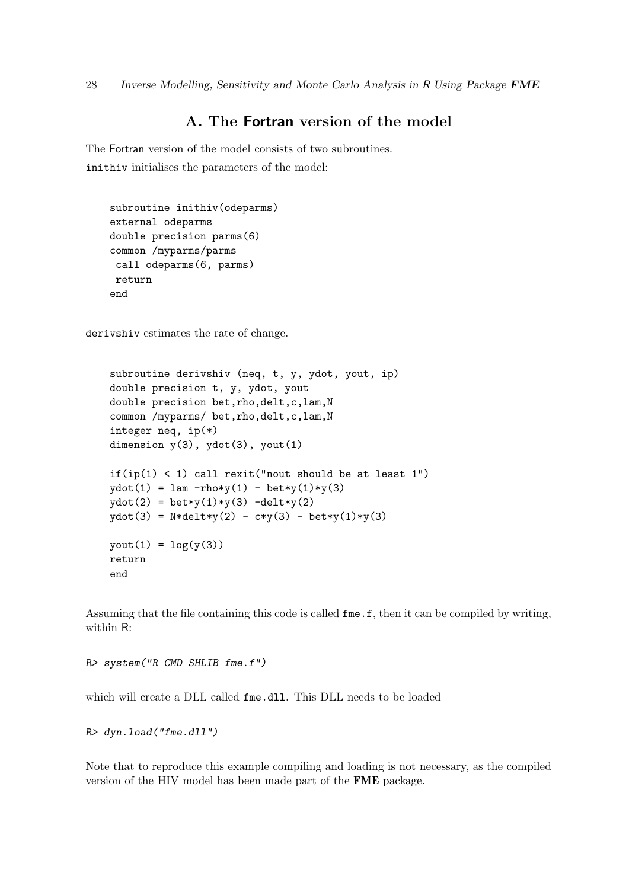28 Inverse Modelling, Sensitivity and Monte Carlo Analysis in R Using Package FME

# A. The Fortran version of the model

The Fortran version of the model consists of two subroutines. inithiv initialises the parameters of the model:

```
subroutine inithiv(odeparms)
external odeparms
double precision parms(6)
common /myparms/parms
 call odeparms(6, parms)
 return
end
```
derivshiv estimates the rate of change.

```
subroutine derivshiv (neq, t, y, ydot, yout, ip)
double precision t, y, ydot, yout
double precision bet, rho, delt, c, lam, N
common /myparms/ bet, rho, delt, c, lam, N
integer neq, ip(*)
dimension y(3), ydot(3), yout(1)if(ip(1) < 1) call rexit("nout should be at least 1")
ydot(1) = \text{lam -rho*}y(1) - \text{bet*}y(1)*y(3)ydot(2) = bet*y(1)*y(3) -delt*y(2)ydot(3) = N*delta1t*y(2) - c*y(3) - bet*y(1)*y(3)yout(1) = log(y(3))return
end
```
Assuming that the file containing this code is called fme.f, then it can be compiled by writing, within R:

R> system("R CMD SHLIB fme.f")

which will create a DLL called fme.dll. This DLL needs to be loaded

R> dyn.load("fme.dll")

Note that to reproduce this example compiling and loading is not necessary, as the compiled version of the HIV model has been made part of the FME package.